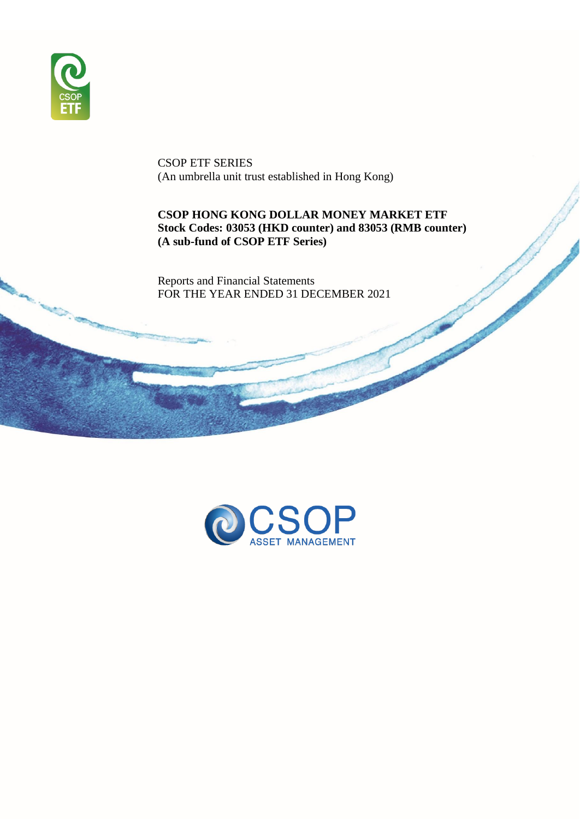

CSOP ETF SERIES (An umbrella unit trust established in Hong Kong)

# **CSOP HONG KONG DOLLAR MONEY MARKET ETF Stock Codes: 03053 (HKD counter) and 83053 (RMB counter) (A sub-fund of CSOP ETF Series)**

Reports and Financial Statements FOR THE YEAR ENDED 31 DECEMBER 2021

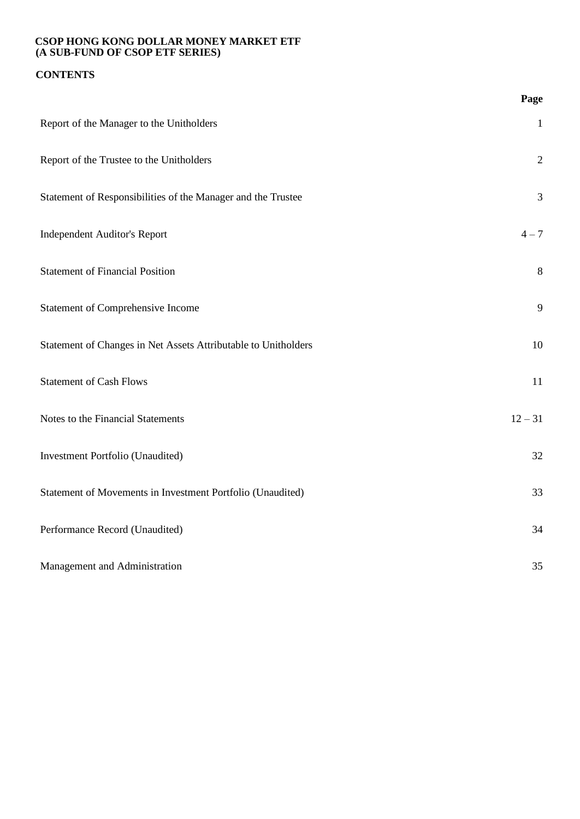# **CONTENTS**

|                                                                | Page           |
|----------------------------------------------------------------|----------------|
| Report of the Manager to the Unitholders                       | $\mathbf{1}$   |
| Report of the Trustee to the Unitholders                       | $\sqrt{2}$     |
| Statement of Responsibilities of the Manager and the Trustee   | $\mathfrak{Z}$ |
| <b>Independent Auditor's Report</b>                            | $4 - 7$        |
| <b>Statement of Financial Position</b>                         | 8              |
| Statement of Comprehensive Income                              | 9              |
| Statement of Changes in Net Assets Attributable to Unitholders | 10             |
| <b>Statement of Cash Flows</b>                                 | 11             |
| Notes to the Financial Statements                              | $12 - 31$      |
| Investment Portfolio (Unaudited)                               | 32             |
| Statement of Movements in Investment Portfolio (Unaudited)     | 33             |
| Performance Record (Unaudited)                                 | 34             |
| Management and Administration                                  | 35             |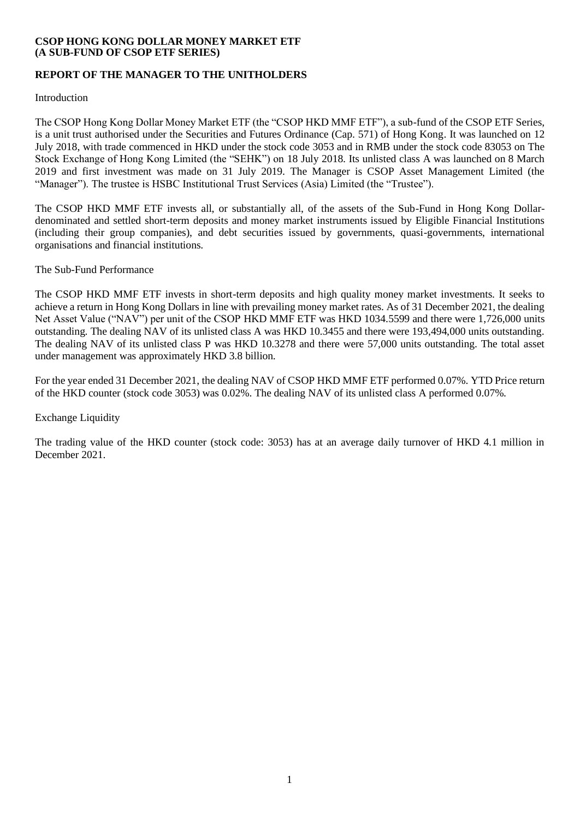# **REPORT OF THE MANAGER TO THE UNITHOLDERS**

Introduction

The CSOP Hong Kong Dollar Money Market ETF (the "CSOP HKD MMF ETF"), a sub-fund of the CSOP ETF Series, is a unit trust authorised under the Securities and Futures Ordinance (Cap. 571) of Hong Kong. It was launched on 12 July 2018, with trade commenced in HKD under the stock code 3053 and in RMB under the stock code 83053 on The Stock Exchange of Hong Kong Limited (the "SEHK") on 18 July 2018. Its unlisted class A was launched on 8 March 2019 and first investment was made on 31 July 2019. The Manager is CSOP Asset Management Limited (the "Manager"). The trustee is HSBC Institutional Trust Services (Asia) Limited (the "Trustee").

The CSOP HKD MMF ETF invests all, or substantially all, of the assets of the Sub-Fund in Hong Kong Dollardenominated and settled short-term deposits and money market instruments issued by Eligible Financial Institutions (including their group companies), and debt securities issued by governments, quasi-governments, international organisations and financial institutions.

The Sub-Fund Performance

The CSOP HKD MMF ETF invests in short-term deposits and high quality money market investments. It seeks to achieve a return in Hong Kong Dollars in line with prevailing money market rates. As of 31 December 2021, the dealing Net Asset Value ("NAV") per unit of the CSOP HKD MMF ETF was HKD 1034.5599 and there were 1,726,000 units outstanding. The dealing NAV of its unlisted class A was HKD 10.3455 and there were 193,494,000 units outstanding. The dealing NAV of its unlisted class P was HKD 10.3278 and there were 57,000 units outstanding. The total asset under management was approximately HKD 3.8 billion.

For the year ended 31 December 2021, the dealing NAV of CSOP HKD MMF ETF performed 0.07%. YTD Price return of the HKD counter (stock code 3053) was 0.02%. The dealing NAV of its unlisted class A performed 0.07%.

## Exchange Liquidity

The trading value of the HKD counter (stock code: 3053) has at an average daily turnover of HKD 4.1 million in December 2021.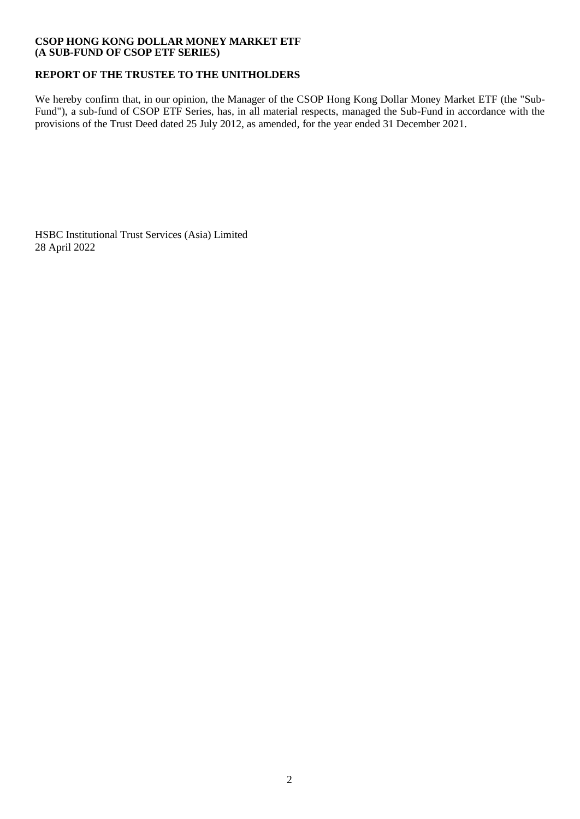# **REPORT OF THE TRUSTEE TO THE UNITHOLDERS**

We hereby confirm that, in our opinion, the Manager of the CSOP Hong Kong Dollar Money Market ETF (the "Sub-Fund"), a sub-fund of CSOP ETF Series, has, in all material respects, managed the Sub-Fund in accordance with the provisions of the Trust Deed dated 25 July 2012, as amended, for the year ended 31 December 2021.

HSBC Institutional Trust Services (Asia) Limited 28 April 2022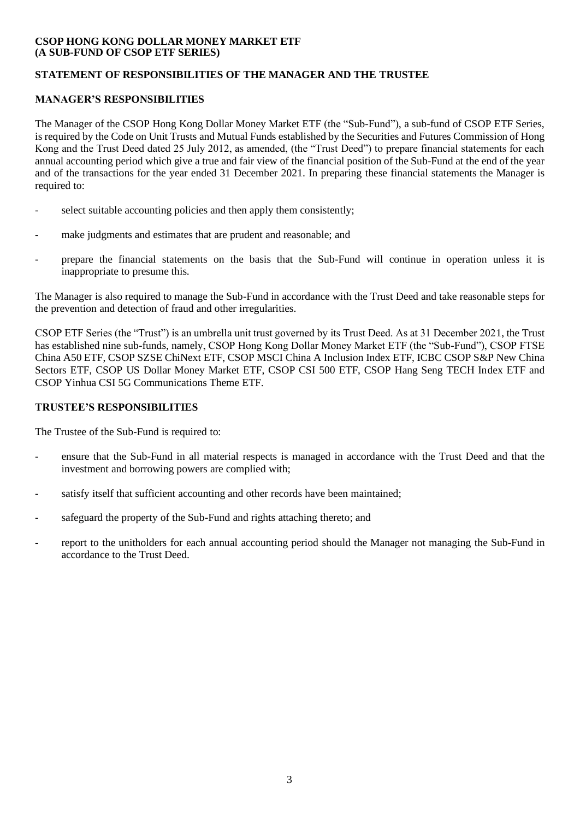# **STATEMENT OF RESPONSIBILITIES OF THE MANAGER AND THE TRUSTEE**

# **MANAGER'S RESPONSIBILITIES**

The Manager of the CSOP Hong Kong Dollar Money Market ETF (the "Sub-Fund"), a sub-fund of CSOP ETF Series, is required by the Code on Unit Trusts and Mutual Funds established by the Securities and Futures Commission of Hong Kong and the Trust Deed dated 25 July 2012, as amended, (the "Trust Deed") to prepare financial statements for each annual accounting period which give a true and fair view of the financial position of the Sub-Fund at the end of the year and of the transactions for the year ended 31 December 2021. In preparing these financial statements the Manager is required to:

- select suitable accounting policies and then apply them consistently;
- make judgments and estimates that are prudent and reasonable; and
- prepare the financial statements on the basis that the Sub-Fund will continue in operation unless it is inappropriate to presume this.

The Manager is also required to manage the Sub-Fund in accordance with the Trust Deed and take reasonable steps for the prevention and detection of fraud and other irregularities.

CSOP ETF Series (the "Trust") is an umbrella unit trust governed by its Trust Deed. As at 31 December 2021, the Trust has established nine sub-funds, namely, CSOP Hong Kong Dollar Money Market ETF (the "Sub-Fund"), CSOP FTSE China A50 ETF, CSOP SZSE ChiNext ETF, CSOP MSCI China A Inclusion Index ETF, ICBC CSOP S&P New China Sectors ETF, CSOP US Dollar Money Market ETF, CSOP CSI 500 ETF, CSOP Hang Seng TECH Index ETF and CSOP Yinhua CSI 5G Communications Theme ETF.

# **TRUSTEE'S RESPONSIBILITIES**

The Trustee of the Sub-Fund is required to:

- ensure that the Sub-Fund in all material respects is managed in accordance with the Trust Deed and that the investment and borrowing powers are complied with;
- satisfy itself that sufficient accounting and other records have been maintained;
- safeguard the property of the Sub-Fund and rights attaching thereto; and
- report to the unitholders for each annual accounting period should the Manager not managing the Sub-Fund in accordance to the Trust Deed.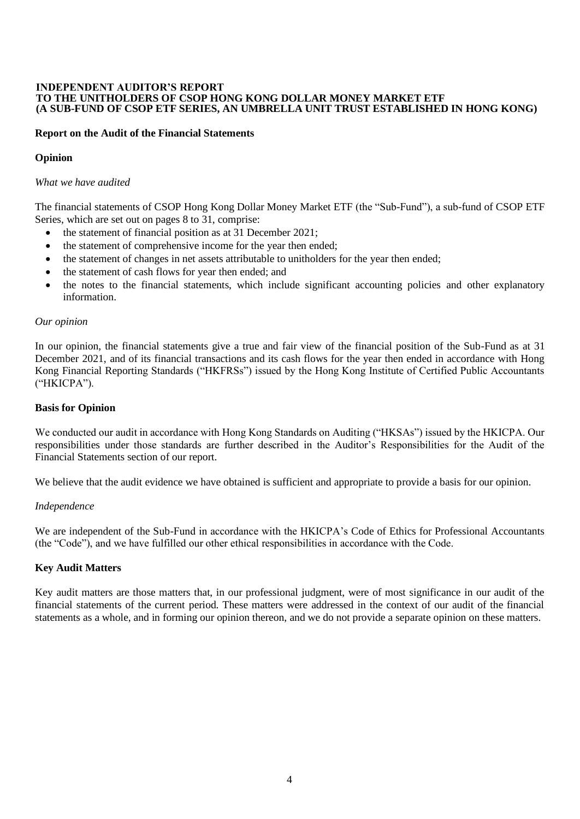#### **INDEPENDENT AUDITOR'S REPORT TO THE UNITHOLDERS OF CSOP HONG KONG DOLLAR MONEY MARKET ETF (A SUB-FUND OF CSOP ETF SERIES, AN UMBRELLA UNIT TRUST ESTABLISHED IN HONG KONG)**

## **Report on the Audit of the Financial Statements**

## **Opinion**

## *What we have audited*

The financial statements of CSOP Hong Kong Dollar Money Market ETF (the "Sub-Fund"), a sub-fund of CSOP ETF Series, which are set out on pages 8 to 31, comprise:

- the statement of financial position as at 31 December 2021;
- the statement of comprehensive income for the year then ended;
- the statement of changes in net assets attributable to unitholders for the year then ended;
- the statement of cash flows for year then ended; and
- the notes to the financial statements, which include significant accounting policies and other explanatory information.

#### *Our opinion*

In our opinion, the financial statements give a true and fair view of the financial position of the Sub-Fund as at 31 December 2021, and of its financial transactions and its cash flows for the year then ended in accordance with Hong Kong Financial Reporting Standards ("HKFRSs") issued by the Hong Kong Institute of Certified Public Accountants ("HKICPA").

#### **Basis for Opinion**

We conducted our audit in accordance with Hong Kong Standards on Auditing ("HKSAs") issued by the HKICPA. Our responsibilities under those standards are further described in the Auditor's Responsibilities for the Audit of the Financial Statements section of our report.

We believe that the audit evidence we have obtained is sufficient and appropriate to provide a basis for our opinion.

#### *Independence*

We are independent of the Sub-Fund in accordance with the HKICPA's Code of Ethics for Professional Accountants (the "Code"), and we have fulfilled our other ethical responsibilities in accordance with the Code.

## **Key Audit Matters**

Key audit matters are those matters that, in our professional judgment, were of most significance in our audit of the financial statements of the current period. These matters were addressed in the context of our audit of the financial statements as a whole, and in forming our opinion thereon, and we do not provide a separate opinion on these matters.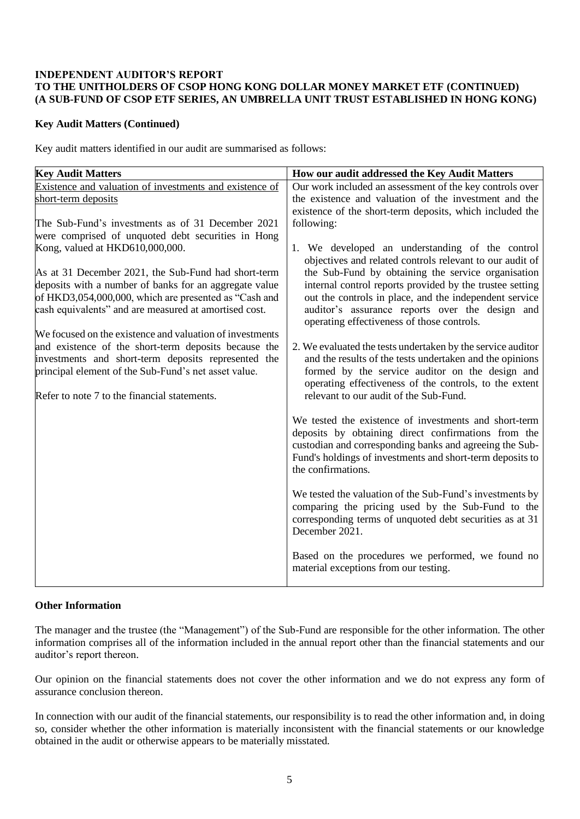## **INDEPENDENT AUDITOR'S REPORT TO THE UNITHOLDERS OF CSOP HONG KONG DOLLAR MONEY MARKET ETF (CONTINUED) (A SUB-FUND OF CSOP ETF SERIES, AN UMBRELLA UNIT TRUST ESTABLISHED IN HONG KONG)**

# **Key Audit Matters (Continued)**

Key audit matters identified in our audit are summarised as follows:

| <b>Key Audit Matters</b>                                                                                         | How our audit addressed the Key Audit Matters                                                                           |
|------------------------------------------------------------------------------------------------------------------|-------------------------------------------------------------------------------------------------------------------------|
| Existence and valuation of investments and existence of                                                          | Our work included an assessment of the key controls over                                                                |
| short-term deposits                                                                                              | the existence and valuation of the investment and the<br>existence of the short-term deposits, which included the       |
| The Sub-Fund's investments as of 31 December 2021                                                                | following:                                                                                                              |
| were comprised of unquoted debt securities in Hong                                                               |                                                                                                                         |
| Kong, valued at HKD610,000,000.                                                                                  | 1. We developed an understanding of the control                                                                         |
|                                                                                                                  | objectives and related controls relevant to our audit of                                                                |
| As at 31 December 2021, the Sub-Fund had short-term                                                              | the Sub-Fund by obtaining the service organisation                                                                      |
| deposits with a number of banks for an aggregate value                                                           | internal control reports provided by the trustee setting                                                                |
| of HKD3,054,000,000, which are presented as "Cash and                                                            | out the controls in place, and the independent service                                                                  |
| cash equivalents" and are measured at amortised cost.                                                            | auditor's assurance reports over the design and                                                                         |
|                                                                                                                  | operating effectiveness of those controls.                                                                              |
| We focused on the existence and valuation of investments<br>and existence of the short-term deposits because the |                                                                                                                         |
| investments and short-term deposits represented the                                                              | 2. We evaluated the tests undertaken by the service auditor<br>and the results of the tests undertaken and the opinions |
| principal element of the Sub-Fund's net asset value.                                                             | formed by the service auditor on the design and                                                                         |
|                                                                                                                  | operating effectiveness of the controls, to the extent                                                                  |
| Refer to note 7 to the financial statements.                                                                     | relevant to our audit of the Sub-Fund.                                                                                  |
|                                                                                                                  |                                                                                                                         |
|                                                                                                                  | We tested the existence of investments and short-term                                                                   |
|                                                                                                                  | deposits by obtaining direct confirmations from the                                                                     |
|                                                                                                                  | custodian and corresponding banks and agreeing the Sub-                                                                 |
|                                                                                                                  | Fund's holdings of investments and short-term deposits to                                                               |
|                                                                                                                  | the confirmations.                                                                                                      |
|                                                                                                                  | We tested the valuation of the Sub-Fund's investments by                                                                |
|                                                                                                                  | comparing the pricing used by the Sub-Fund to the                                                                       |
|                                                                                                                  | corresponding terms of unquoted debt securities as at 31                                                                |
|                                                                                                                  | December 2021.                                                                                                          |
|                                                                                                                  | Based on the procedures we performed, we found no                                                                       |
|                                                                                                                  | material exceptions from our testing.                                                                                   |
|                                                                                                                  |                                                                                                                         |

## **Other Information**

The manager and the trustee (the "Management") of the Sub-Fund are responsible for the other information. The other information comprises all of the information included in the annual report other than the financial statements and our auditor's report thereon.

Our opinion on the financial statements does not cover the other information and we do not express any form of assurance conclusion thereon.

In connection with our audit of the financial statements, our responsibility is to read the other information and, in doing so, consider whether the other information is materially inconsistent with the financial statements or our knowledge obtained in the audit or otherwise appears to be materially misstated.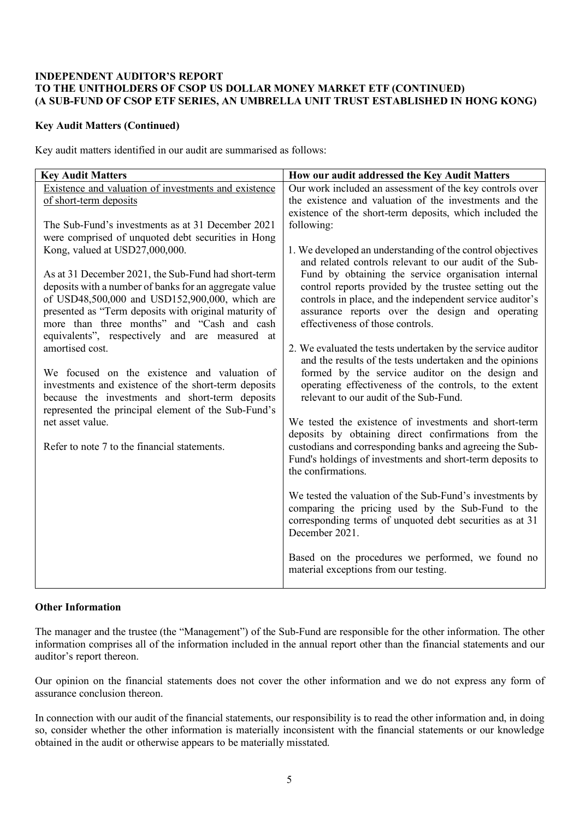# **INDEPENDENT AUDITOR'S REPORT TO THE UNITHOLDERS OF CSOP US DOLLAR MONEY MARKET ETF (CONTINUED) (A SUB-FUND OF CSOP ETF SERIES, AN UMBRELLA UNIT TRUST ESTABLISHED IN HONG KONG)**

# **Key Audit Matters (Continued)**

Key audit matters identified in our audit are summarised as follows:

| <b>Key Audit Matters</b>                                                                                                                                                                                                                                                                                                                                                                                                                                                                                                                                                                                                                                                                                                                                                       | How our audit addressed the Key Audit Matters                                                                                                                                                                                                                                                                                                                                                                                                                                                                                                                                                                                                                                                                                                                                                                                                                                                                                                                                                                        |
|--------------------------------------------------------------------------------------------------------------------------------------------------------------------------------------------------------------------------------------------------------------------------------------------------------------------------------------------------------------------------------------------------------------------------------------------------------------------------------------------------------------------------------------------------------------------------------------------------------------------------------------------------------------------------------------------------------------------------------------------------------------------------------|----------------------------------------------------------------------------------------------------------------------------------------------------------------------------------------------------------------------------------------------------------------------------------------------------------------------------------------------------------------------------------------------------------------------------------------------------------------------------------------------------------------------------------------------------------------------------------------------------------------------------------------------------------------------------------------------------------------------------------------------------------------------------------------------------------------------------------------------------------------------------------------------------------------------------------------------------------------------------------------------------------------------|
| Existence and valuation of investments and existence<br>of short-term deposits                                                                                                                                                                                                                                                                                                                                                                                                                                                                                                                                                                                                                                                                                                 | Our work included an assessment of the key controls over<br>the existence and valuation of the investments and the                                                                                                                                                                                                                                                                                                                                                                                                                                                                                                                                                                                                                                                                                                                                                                                                                                                                                                   |
| The Sub-Fund's investments as at 31 December 2021<br>were comprised of unquoted debt securities in Hong<br>Kong, valued at USD27,000,000.<br>As at 31 December 2021, the Sub-Fund had short-term<br>deposits with a number of banks for an aggregate value<br>of USD48,500,000 and USD152,900,000, which are<br>presented as "Term deposits with original maturity of<br>more than three months" and "Cash and cash<br>equivalents", respectively and are measured at<br>amortised cost.<br>We focused on the existence and valuation of<br>investments and existence of the short-term deposits<br>because the investments and short-term deposits<br>represented the principal element of the Sub-Fund's<br>net asset value.<br>Refer to note 7 to the financial statements. | existence of the short-term deposits, which included the<br>following:<br>1. We developed an understanding of the control objectives<br>and related controls relevant to our audit of the Sub-<br>Fund by obtaining the service organisation internal<br>control reports provided by the trustee setting out the<br>controls in place, and the independent service auditor's<br>assurance reports over the design and operating<br>effectiveness of those controls.<br>2. We evaluated the tests undertaken by the service auditor<br>and the results of the tests undertaken and the opinions<br>formed by the service auditor on the design and<br>operating effectiveness of the controls, to the extent<br>relevant to our audit of the Sub-Fund.<br>We tested the existence of investments and short-term<br>deposits by obtaining direct confirmations from the<br>custodians and corresponding banks and agreeing the Sub-<br>Fund's holdings of investments and short-term deposits to<br>the confirmations. |
|                                                                                                                                                                                                                                                                                                                                                                                                                                                                                                                                                                                                                                                                                                                                                                                | We tested the valuation of the Sub-Fund's investments by<br>comparing the pricing used by the Sub-Fund to the<br>corresponding terms of unquoted debt securities as at 31<br>December 2021.                                                                                                                                                                                                                                                                                                                                                                                                                                                                                                                                                                                                                                                                                                                                                                                                                          |
|                                                                                                                                                                                                                                                                                                                                                                                                                                                                                                                                                                                                                                                                                                                                                                                | Based on the procedures we performed, we found no<br>material exceptions from our testing.                                                                                                                                                                                                                                                                                                                                                                                                                                                                                                                                                                                                                                                                                                                                                                                                                                                                                                                           |

# **Other Information**

The manager and the trustee (the "Management") of the Sub-Fund are responsible for the other information. The other information comprises all of the information included in the annual report other than the financial statements and our auditor's report thereon.

Our opinion on the financial statements does not cover the other information and we do not express any form of assurance conclusion thereon.

In connection with our audit of the financial statements, our responsibility is to read the other information and, in doing so, consider whether the other information is materially inconsistent with the financial statements or our knowledge obtained in the audit or otherwise appears to be materially misstated.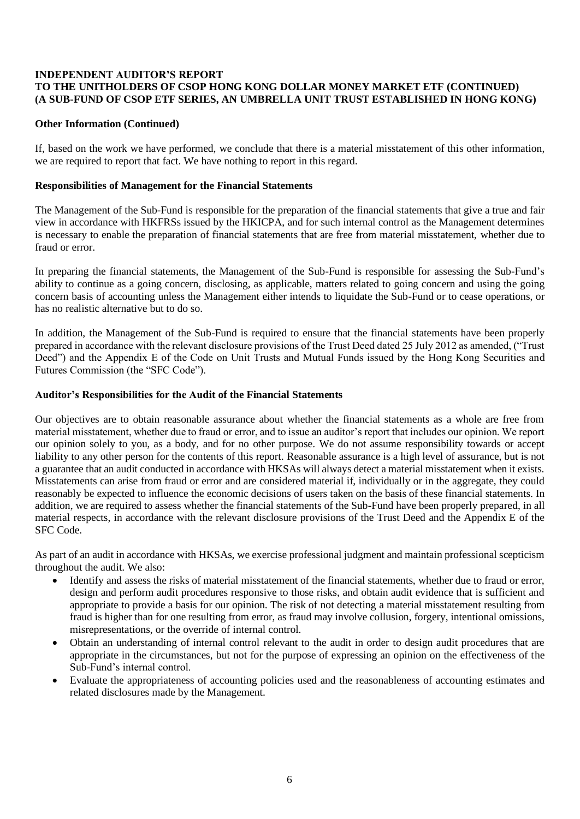# **INDEPENDENT AUDITOR'S REPORT TO THE UNITHOLDERS OF CSOP HONG KONG DOLLAR MONEY MARKET ETF (CONTINUED) (A SUB-FUND OF CSOP ETF SERIES, AN UMBRELLA UNIT TRUST ESTABLISHED IN HONG KONG)**

# **Other Information (Continued)**

If, based on the work we have performed, we conclude that there is a material misstatement of this other information, we are required to report that fact. We have nothing to report in this regard.

## **Responsibilities of Management for the Financial Statements**

The Management of the Sub-Fund is responsible for the preparation of the financial statements that give a true and fair view in accordance with HKFRSs issued by the HKICPA, and for such internal control as the Management determines is necessary to enable the preparation of financial statements that are free from material misstatement, whether due to fraud or error.

In preparing the financial statements, the Management of the Sub-Fund is responsible for assessing the Sub-Fund's ability to continue as a going concern, disclosing, as applicable, matters related to going concern and using the going concern basis of accounting unless the Management either intends to liquidate the Sub-Fund or to cease operations, or has no realistic alternative but to do so.

In addition, the Management of the Sub-Fund is required to ensure that the financial statements have been properly prepared in accordance with the relevant disclosure provisions of the Trust Deed dated 25 July 2012 as amended, ("Trust Deed") and the Appendix E of the Code on Unit Trusts and Mutual Funds issued by the Hong Kong Securities and Futures Commission (the "SFC Code").

# **Auditor's Responsibilities for the Audit of the Financial Statements**

Our objectives are to obtain reasonable assurance about whether the financial statements as a whole are free from material misstatement, whether due to fraud or error, and to issue an auditor's report that includes our opinion. We report our opinion solely to you, as a body, and for no other purpose. We do not assume responsibility towards or accept liability to any other person for the contents of this report. Reasonable assurance is a high level of assurance, but is not a guarantee that an audit conducted in accordance with HKSAs will always detect a material misstatement when it exists. Misstatements can arise from fraud or error and are considered material if, individually or in the aggregate, they could reasonably be expected to influence the economic decisions of users taken on the basis of these financial statements. In addition, we are required to assess whether the financial statements of the Sub-Fund have been properly prepared, in all material respects, in accordance with the relevant disclosure provisions of the Trust Deed and the Appendix E of the SFC Code.

As part of an audit in accordance with HKSAs, we exercise professional judgment and maintain professional scepticism throughout the audit. We also:

- Identify and assess the risks of material misstatement of the financial statements, whether due to fraud or error, design and perform audit procedures responsive to those risks, and obtain audit evidence that is sufficient and appropriate to provide a basis for our opinion. The risk of not detecting a material misstatement resulting from fraud is higher than for one resulting from error, as fraud may involve collusion, forgery, intentional omissions, misrepresentations, or the override of internal control.
- Obtain an understanding of internal control relevant to the audit in order to design audit procedures that are appropriate in the circumstances, but not for the purpose of expressing an opinion on the effectiveness of the Sub-Fund's internal control.
- Evaluate the appropriateness of accounting policies used and the reasonableness of accounting estimates and related disclosures made by the Management.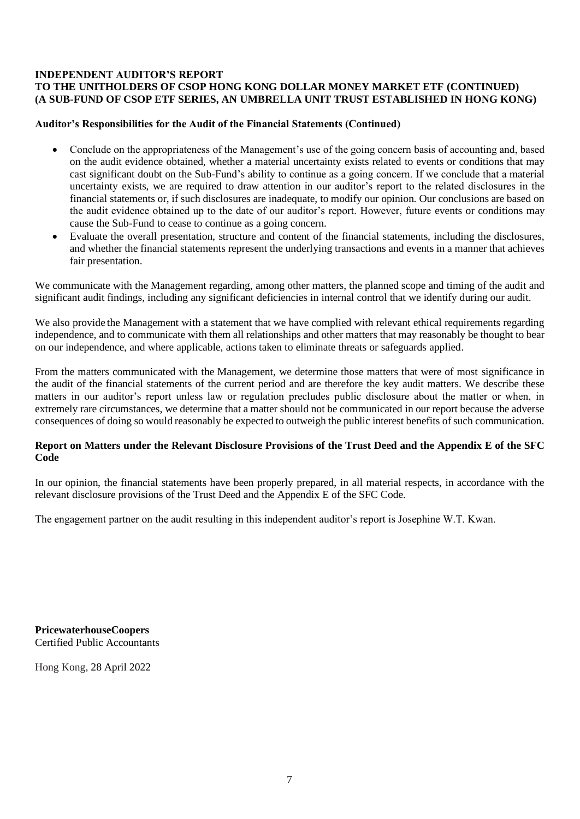# **INDEPENDENT AUDITOR'S REPORT**

# **TO THE UNITHOLDERS OF CSOP HONG KONG DOLLAR MONEY MARKET ETF (CONTINUED) (A SUB-FUND OF CSOP ETF SERIES, AN UMBRELLA UNIT TRUST ESTABLISHED IN HONG KONG)**

## **Auditor's Responsibilities for the Audit of the Financial Statements (Continued)**

- Conclude on the appropriateness of the Management's use of the going concern basis of accounting and, based on the audit evidence obtained, whether a material uncertainty exists related to events or conditions that may cast significant doubt on the Sub-Fund's ability to continue as a going concern. If we conclude that a material uncertainty exists, we are required to draw attention in our auditor's report to the related disclosures in the financial statements or, if such disclosures are inadequate, to modify our opinion. Our conclusions are based on the audit evidence obtained up to the date of our auditor's report. However, future events or conditions may cause the Sub-Fund to cease to continue as a going concern.
- Evaluate the overall presentation, structure and content of the financial statements, including the disclosures, and whether the financial statements represent the underlying transactions and events in a manner that achieves fair presentation.

We communicate with the Management regarding, among other matters, the planned scope and timing of the audit and significant audit findings, including any significant deficiencies in internal control that we identify during our audit.

We also provide the Management with a statement that we have complied with relevant ethical requirements regarding independence, and to communicate with them all relationships and other matters that may reasonably be thought to bear on our independence, and where applicable, actions taken to eliminate threats or safeguards applied.

From the matters communicated with the Management, we determine those matters that were of most significance in the audit of the financial statements of the current period and are therefore the key audit matters. We describe these matters in our auditor's report unless law or regulation precludes public disclosure about the matter or when, in extremely rare circumstances, we determine that a matter should not be communicated in our report because the adverse consequences of doing so would reasonably be expected to outweigh the public interest benefits of such communication.

# **Report on Matters under the Relevant Disclosure Provisions of the Trust Deed and the Appendix E of the SFC Code**

In our opinion, the financial statements have been properly prepared, in all material respects, in accordance with the relevant disclosure provisions of the Trust Deed and the Appendix E of the SFC Code.

The engagement partner on the audit resulting in this independent auditor's report is Josephine W.T. Kwan.

**PricewaterhouseCoopers**  Certified Public Accountants

Hong Kong, 28 April 2022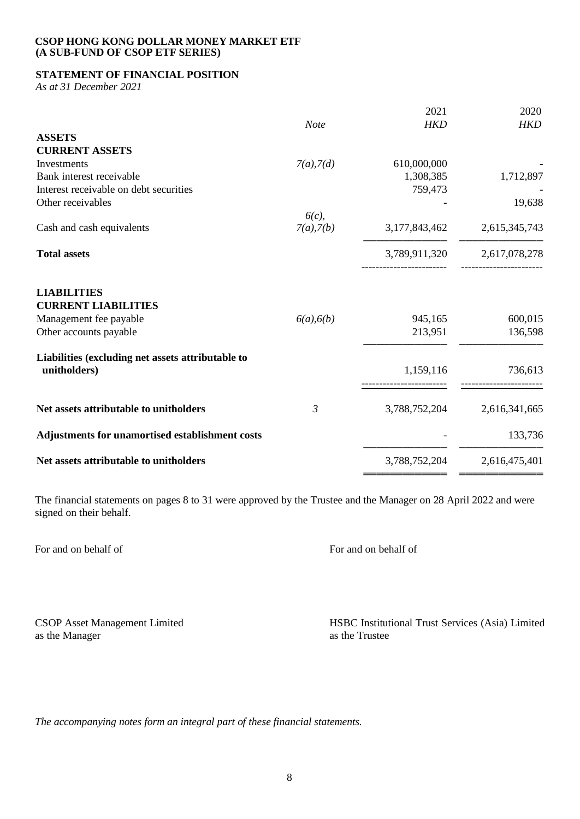# **STATEMENT OF FINANCIAL POSITION**

*As at 31 December 2021*

|                                                   |                 | 2021          | 2020          |
|---------------------------------------------------|-----------------|---------------|---------------|
|                                                   | <b>Note</b>     | <b>HKD</b>    | <b>HKD</b>    |
| <b>ASSETS</b>                                     |                 |               |               |
| <b>CURRENT ASSETS</b>                             |                 |               |               |
| Investments                                       | $7(a)$ , $7(d)$ | 610,000,000   |               |
| Bank interest receivable                          |                 | 1,308,385     | 1,712,897     |
| Interest receivable on debt securities            |                 | 759,473       |               |
| Other receivables                                 |                 |               | 19,638        |
|                                                   | 6(c)            |               |               |
| Cash and cash equivalents                         | $7(a)$ , $7(b)$ | 3,177,843,462 | 2,615,345,743 |
| <b>Total assets</b>                               |                 | 3,789,911,320 | 2,617,078,278 |
| <b>LIABILITIES</b><br><b>CURRENT LIABILITIES</b>  |                 |               |               |
| Management fee payable                            | $6(a)$ , $6(b)$ | 945,165       | 600,015       |
| Other accounts payable                            |                 | 213,951       | 136,598       |
| Liabilities (excluding net assets attributable to |                 |               |               |
| unitholders)                                      |                 | 1,159,116     | 736,613       |
| Net assets attributable to unitholders            | $\mathfrak{Z}$  | 3,788,752,204 | 2,616,341,665 |
| Adjustments for unamortised establishment costs   |                 |               | 133,736       |
| Net assets attributable to unitholders            |                 | 3,788,752,204 | 2,616,475,401 |
|                                                   |                 |               |               |

The financial statements on pages 8 to 31 were approved by the Trustee and the Manager on 28 April 2022 and were signed on their behalf.

For and on behalf of Form on behalf of Form on behalf of Form on behalf of Form on behalf of Form on behalf of

as the Manager

CSOP Asset Management Limited<br>
as the Manager<br>
as the Trustee<br>
Asset Manager<br>
Asset Manager<br>
Asset Manager<br>
Asset Manager<br>
Asset Manager<br>
Asset Manager<br>
Asset Manager<br>
Asset Manager<br>
Asset Manager<br>
Asset Manager<br>
Asset Man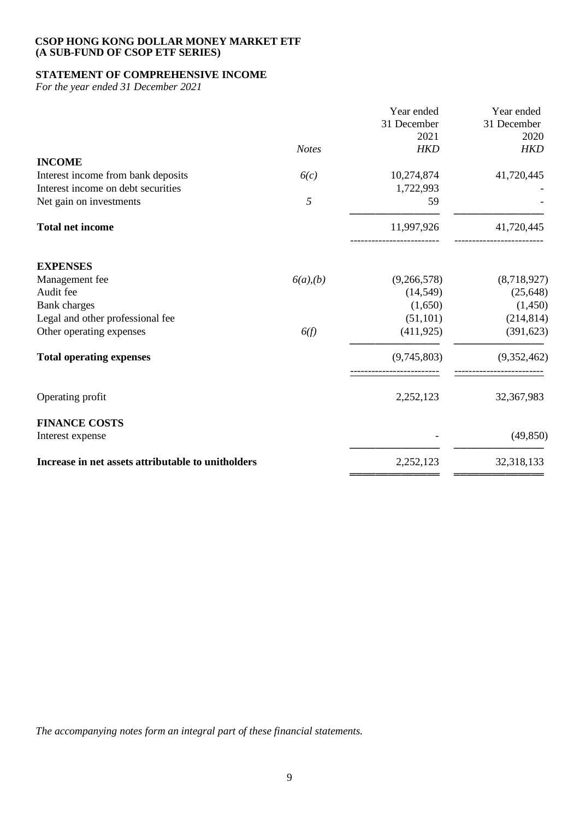# **STATEMENT OF COMPREHENSIVE INCOME**

*For the year ended 31 December 2021*

|                | Year ended<br>31 December | Year ended<br>31 December |
|----------------|---------------------------|---------------------------|
|                | 2021                      | 2020                      |
| <b>Notes</b>   | <b>HKD</b>                | <b>HKD</b>                |
|                |                           |                           |
|                |                           | 41,720,445                |
|                | 1,722,993                 |                           |
| 5              | 59                        |                           |
|                | 11,997,926                | 41,720,445                |
|                |                           |                           |
| $6(a)$ , $(b)$ | (9,266,578)               | (8,718,927)               |
|                | (14, 549)                 | (25, 648)                 |
|                | (1,650)                   | (1,450)                   |
|                | (51, 101)                 | (214, 814)                |
| 6(f)           | (411, 925)                | (391, 623)                |
|                | (9,745,803)               | (9,352,462)               |
|                | 2,252,123                 | 32,367,983                |
|                |                           |                           |
|                |                           | (49, 850)                 |
|                | 2,252,123                 | 32,318,133                |
|                | 6(c)                      | 10,274,874                |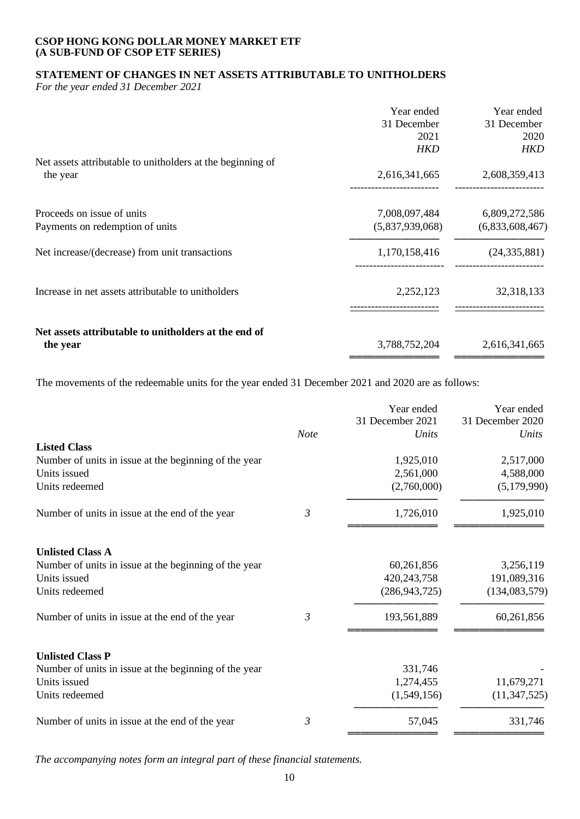# **STATEMENT OF CHANGES IN NET ASSETS ATTRIBUTABLE TO UNITHOLDERS**

*For the year ended 31 December 2021*

|                                                                        | Year ended<br>31 December<br>2021<br>HKD | Year ended<br>31 December<br>2020<br><b>HKD</b> |
|------------------------------------------------------------------------|------------------------------------------|-------------------------------------------------|
| Net assets attributable to unitholders at the beginning of<br>the year | 2,616,341,665                            | 2,608,359,413                                   |
| Proceeds on issue of units<br>Payments on redemption of units          | 7,008,097,484<br>(5,837,939,068)         | 6,809,272,586<br>(6,833,608,467)                |
| Net increase/(decrease) from unit transactions                         | 1,170,158,416                            | (24, 335, 881)                                  |
| Increase in net assets attributable to unitholders                     | 2,252,123                                | 32,318,133                                      |
| Net assets attributable to unitholders at the end of<br>the year       | 3,788,752,204                            | 2,616,341,665                                   |

The movements of the redeemable units for the year ended 31 December 2021 and 2020 are as follows:

|                                                       |      | Year ended<br>31 December 2021 | Year ended<br>31 December 2020 |
|-------------------------------------------------------|------|--------------------------------|--------------------------------|
|                                                       | Note | Units                          | Units                          |
| <b>Listed Class</b>                                   |      |                                |                                |
| Number of units in issue at the beginning of the year |      | 1,925,010                      | 2,517,000                      |
| Units issued                                          |      | 2,561,000                      | 4,588,000                      |
| Units redeemed                                        |      | (2,760,000)                    | (5,179,990)                    |
| Number of units in issue at the end of the year       | 3    | 1,726,010                      | 1,925,010                      |
| <b>Unlisted Class A</b>                               |      |                                |                                |
| Number of units in issue at the beginning of the year |      | 60,261,856                     | 3,256,119                      |
| Units issued                                          |      | 420, 243, 758                  | 191,089,316                    |
| Units redeemed                                        |      | (286, 943, 725)                | (134, 083, 579)                |
| Number of units in issue at the end of the year       | 3    | 193,561,889                    | 60,261,856                     |
| <b>Unlisted Class P</b>                               |      |                                |                                |
| Number of units in issue at the beginning of the year |      | 331,746                        |                                |
| Units issued                                          |      | 1,274,455                      | 11,679,271                     |
| Units redeemed                                        |      | (1,549,156)                    | (11, 347, 525)                 |
| Number of units in issue at the end of the year       | 3    | 57,045                         | 331,746                        |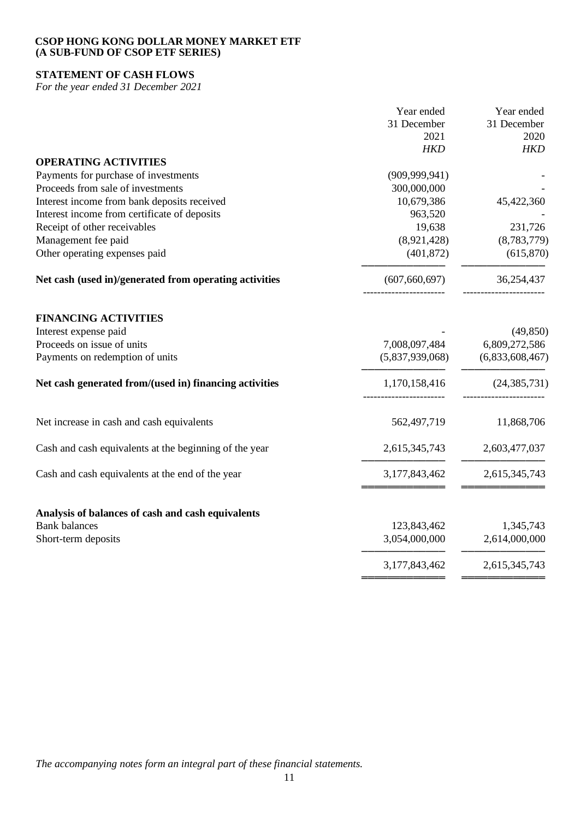# **STATEMENT OF CASH FLOWS**

*For the year ended 31 December 2021*

|                                                        | Year ended      | Year ended      |
|--------------------------------------------------------|-----------------|-----------------|
|                                                        | 31 December     | 31 December     |
|                                                        | 2021            | 2020            |
|                                                        | <b>HKD</b>      | <b>HKD</b>      |
| <b>OPERATING ACTIVITIES</b>                            |                 |                 |
| Payments for purchase of investments                   | (909, 999, 941) |                 |
| Proceeds from sale of investments                      | 300,000,000     |                 |
| Interest income from bank deposits received            | 10,679,386      | 45,422,360      |
| Interest income from certificate of deposits           | 963,520         |                 |
| Receipt of other receivables                           | 19,638          | 231,726         |
| Management fee paid                                    | (8,921,428)     | (8,783,779)     |
| Other operating expenses paid                          | (401, 872)      | (615, 870)      |
| Net cash (used in)/generated from operating activities | (607, 660, 697) | 36,254,437      |
| <b>FINANCING ACTIVITIES</b>                            |                 |                 |
| Interest expense paid                                  |                 | (49, 850)       |
| Proceeds on issue of units                             | 7,008,097,484   | 6,809,272,586   |
| Payments on redemption of units                        | (5,837,939,068) | (6,833,608,467) |
| Net cash generated from/(used in) financing activities | 1,170,158,416   | (24, 385, 731)  |
| Net increase in cash and cash equivalents              | 562,497,719     | 11,868,706      |
| Cash and cash equivalents at the beginning of the year | 2,615,345,743   | 2,603,477,037   |
| Cash and cash equivalents at the end of the year       | 3,177,843,462   | 2,615,345,743   |
| Analysis of balances of cash and cash equivalents      |                 |                 |
| <b>Bank</b> balances                                   | 123,843,462     | 1,345,743       |
| Short-term deposits                                    | 3,054,000,000   | 2,614,000,000   |
|                                                        | 3,177,843,462   | 2,615,345,743   |
|                                                        |                 |                 |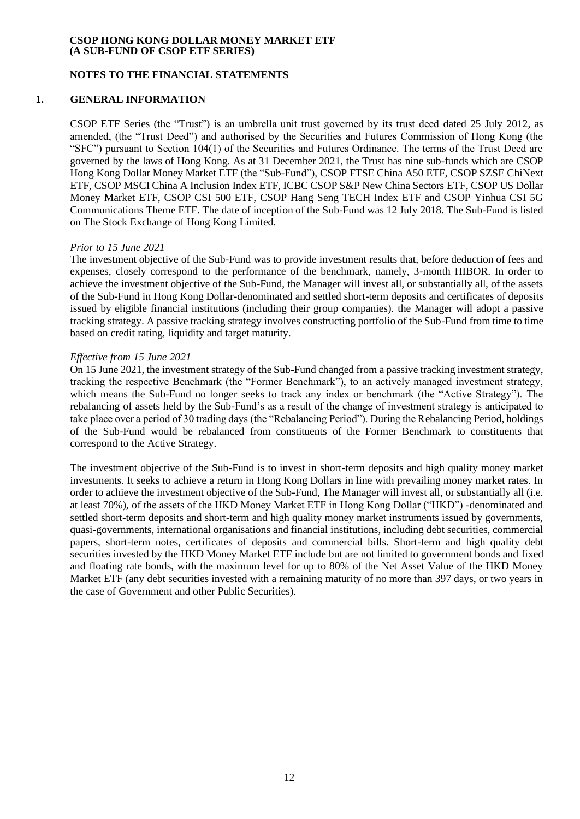## **NOTES TO THE FINANCIAL STATEMENTS**

## **1. GENERAL INFORMATION**

CSOP ETF Series (the "Trust") is an umbrella unit trust governed by its trust deed dated 25 July 2012, as amended, (the "Trust Deed") and authorised by the Securities and Futures Commission of Hong Kong (the "SFC") pursuant to Section 104(1) of the Securities and Futures Ordinance. The terms of the Trust Deed are governed by the laws of Hong Kong. As at 31 December 2021, the Trust has nine sub-funds which are CSOP Hong Kong Dollar Money Market ETF (the "Sub-Fund"), CSOP FTSE China A50 ETF, CSOP SZSE ChiNext ETF, CSOP MSCI China A Inclusion Index ETF, ICBC CSOP S&P New China Sectors ETF, CSOP US Dollar Money Market ETF, CSOP CSI 500 ETF, CSOP Hang Seng TECH Index ETF and CSOP Yinhua CSI 5G Communications Theme ETF. The date of inception of the Sub-Fund was 12 July 2018. The Sub-Fund is listed on The Stock Exchange of Hong Kong Limited.

#### *Prior to 15 June 2021*

The investment objective of the Sub-Fund was to provide investment results that, before deduction of fees and expenses, closely correspond to the performance of the benchmark, namely, 3-month HIBOR. In order to achieve the investment objective of the Sub-Fund, the Manager will invest all, or substantially all, of the assets of the Sub-Fund in Hong Kong Dollar-denominated and settled short-term deposits and certificates of deposits issued by eligible financial institutions (including their group companies). the Manager will adopt a passive tracking strategy. A passive tracking strategy involves constructing portfolio of the Sub-Fund from time to time based on credit rating, liquidity and target maturity.

## *Effective from 15 June 2021*

On 15 June 2021, the investment strategy of the Sub-Fund changed from a passive tracking investment strategy, tracking the respective Benchmark (the "Former Benchmark"), to an actively managed investment strategy, which means the Sub-Fund no longer seeks to track any index or benchmark (the "Active Strategy"). The rebalancing of assets held by the Sub-Fund's as a result of the change of investment strategy is anticipated to take place over a period of 30 trading days (the "Rebalancing Period"). During the Rebalancing Period, holdings of the Sub-Fund would be rebalanced from constituents of the Former Benchmark to constituents that correspond to the Active Strategy.

The investment objective of the Sub-Fund is to invest in short-term deposits and high quality money market investments. It seeks to achieve a return in Hong Kong Dollars in line with prevailing money market rates. In order to achieve the investment objective of the Sub-Fund, The Manager will invest all, or substantially all (i.e. at least 70%), of the assets of the HKD Money Market ETF in Hong Kong Dollar ("HKD") -denominated and settled short-term deposits and short-term and high quality money market instruments issued by governments, quasi-governments, international organisations and financial institutions, including debt securities, commercial papers, short-term notes, certificates of deposits and commercial bills. Short-term and high quality debt securities invested by the HKD Money Market ETF include but are not limited to government bonds and fixed and floating rate bonds, with the maximum level for up to 80% of the Net Asset Value of the HKD Money Market ETF (any debt securities invested with a remaining maturity of no more than 397 days, or two years in the case of Government and other Public Securities).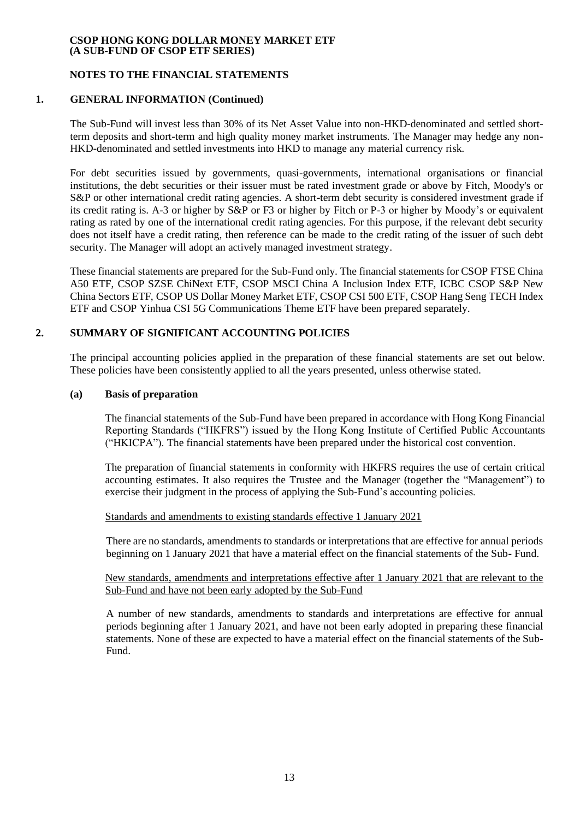# **NOTES TO THE FINANCIAL STATEMENTS**

# **1. GENERAL INFORMATION (Continued)**

The Sub-Fund will invest less than 30% of its Net Asset Value into non-HKD-denominated and settled shortterm deposits and short-term and high quality money market instruments. The Manager may hedge any non-HKD-denominated and settled investments into HKD to manage any material currency risk.

For debt securities issued by governments, quasi-governments, international organisations or financial institutions, the debt securities or their issuer must be rated investment grade or above by Fitch, Moody's or S&P or other international credit rating agencies. A short-term debt security is considered investment grade if its credit rating is. A-3 or higher by S&P or F3 or higher by Fitch or P-3 or higher by Moody's or equivalent rating as rated by one of the international credit rating agencies. For this purpose, if the relevant debt security does not itself have a credit rating, then reference can be made to the credit rating of the issuer of such debt security. The Manager will adopt an actively managed investment strategy.

These financial statements are prepared for the Sub-Fund only. The financial statements for CSOP FTSE China A50 ETF, CSOP SZSE ChiNext ETF, CSOP MSCI China A Inclusion Index ETF, ICBC CSOP S&P New China Sectors ETF, CSOP US Dollar Money Market ETF, CSOP CSI 500 ETF, CSOP Hang Seng TECH Index ETF and CSOP Yinhua CSI 5G Communications Theme ETF have been prepared separately.

# **2. SUMMARY OF SIGNIFICANT ACCOUNTING POLICIES**

The principal accounting policies applied in the preparation of these financial statements are set out below. These policies have been consistently applied to all the years presented, unless otherwise stated.

#### **(a) Basis of preparation**

The financial statements of the Sub-Fund have been prepared in accordance with Hong Kong Financial Reporting Standards ("HKFRS") issued by the Hong Kong Institute of Certified Public Accountants ("HKICPA"). The financial statements have been prepared under the historical cost convention.

The preparation of financial statements in conformity with HKFRS requires the use of certain critical accounting estimates. It also requires the Trustee and the Manager (together the "Management") to exercise their judgment in the process of applying the Sub-Fund's accounting policies.

#### Standards and amendments to existing standards effective 1 January 2021

There are no standards, amendments to standards or interpretations that are effective for annual periods beginning on 1 January 2021 that have a material effect on the financial statements of the Sub- Fund.

New standards, amendments and interpretations effective after 1 January 2021 that are relevant to the Sub-Fund and have not been early adopted by the Sub-Fund

A number of new standards, amendments to standards and interpretations are effective for annual periods beginning after 1 January 2021, and have not been early adopted in preparing these financial statements. None of these are expected to have a material effect on the financial statements of the Sub-Fund.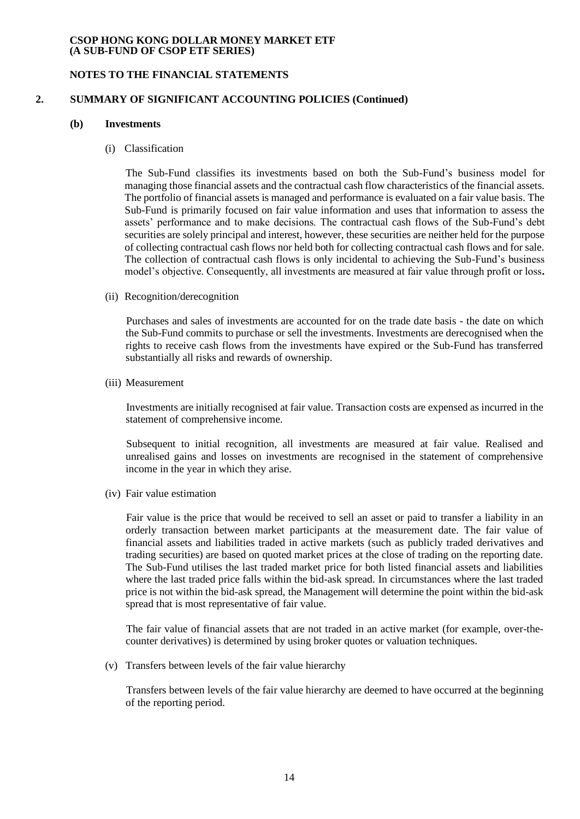## **NOTES TO THE FINANCIAL STATEMENTS**

#### **2. SUMMARY OF SIGNIFICANT ACCOUNTING POLICIES (Continued)**

## **(b) Investments**

(i) Classification

The Sub-Fund classifies its investments based on both the Sub-Fund's business model for managing those financial assets and the contractual cash flow characteristics of the financial assets. The portfolio of financial assets is managed and performance is evaluated on a fair value basis. The Sub-Fund is primarily focused on fair value information and uses that information to assess the assets' performance and to make decisions. The contractual cash flows of the Sub-Fund's debt securities are solely principal and interest, however, these securities are neither held for the purpose of collecting contractual cash flows nor held both for collecting contractual cash flows and for sale. The collection of contractual cash flows is only incidental to achieving the Sub-Fund's business model's objective. Consequently, all investments are measured at fair value through profit or loss**.**

(ii) Recognition/derecognition

Purchases and sales of investments are accounted for on the trade date basis - the date on which the Sub-Fund commits to purchase or sell the investments. Investments are derecognised when the rights to receive cash flows from the investments have expired or the Sub-Fund has transferred substantially all risks and rewards of ownership.

(iii) Measurement

Investments are initially recognised at fair value. Transaction costs are expensed as incurred in the statement of comprehensive income.

Subsequent to initial recognition, all investments are measured at fair value. Realised and unrealised gains and losses on investments are recognised in the statement of comprehensive income in the year in which they arise.

(iv) Fair value estimation

Fair value is the price that would be received to sell an asset or paid to transfer a liability in an orderly transaction between market participants at the measurement date. The fair value of financial assets and liabilities traded in active markets (such as publicly traded derivatives and trading securities) are based on quoted market prices at the close of trading on the reporting date. The Sub-Fund utilises the last traded market price for both listed financial assets and liabilities where the last traded price falls within the bid-ask spread. In circumstances where the last traded price is not within the bid-ask spread, the Management will determine the point within the bid-ask spread that is most representative of fair value.

The fair value of financial assets that are not traded in an active market (for example, over-thecounter derivatives) is determined by using broker quotes or valuation techniques.

(v) Transfers between levels of the fair value hierarchy

Transfers between levels of the fair value hierarchy are deemed to have occurred at the beginning of the reporting period.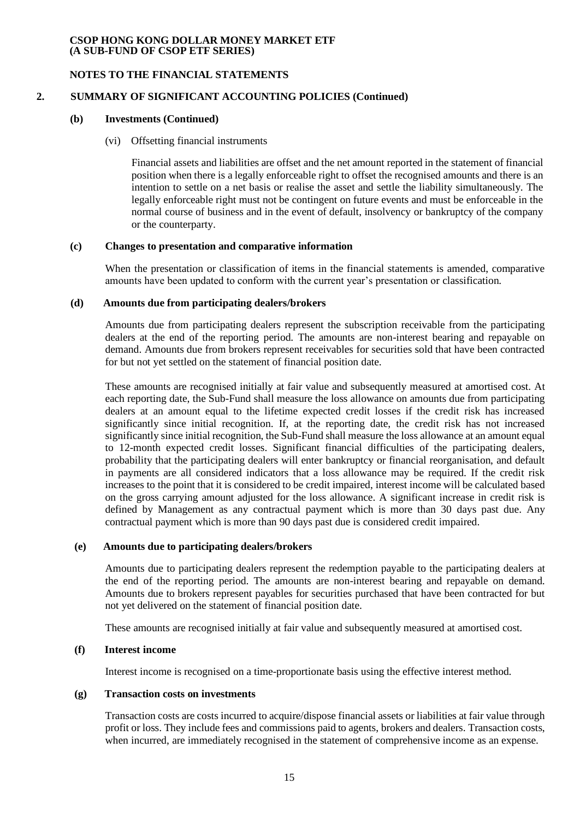## **NOTES TO THE FINANCIAL STATEMENTS**

# **2. SUMMARY OF SIGNIFICANT ACCOUNTING POLICIES (Continued)**

## **(b) Investments (Continued)**

## (vi) Offsetting financial instruments

Financial assets and liabilities are offset and the net amount reported in the statement of financial position when there is a legally enforceable right to offset the recognised amounts and there is an intention to settle on a net basis or realise the asset and settle the liability simultaneously. The legally enforceable right must not be contingent on future events and must be enforceable in the normal course of business and in the event of default, insolvency or bankruptcy of the company or the counterparty.

## **(c) Changes to presentation and comparative information**

When the presentation or classification of items in the financial statements is amended, comparative amounts have been updated to conform with the current year's presentation or classification.

#### **(d) Amounts due from participating dealers/brokers**

Amounts due from participating dealers represent the subscription receivable from the participating dealers at the end of the reporting period. The amounts are non-interest bearing and repayable on demand. Amounts due from brokers represent receivables for securities sold that have been contracted for but not yet settled on the statement of financial position date.

These amounts are recognised initially at fair value and subsequently measured at amortised cost. At each reporting date, the Sub-Fund shall measure the loss allowance on amounts due from participating dealers at an amount equal to the lifetime expected credit losses if the credit risk has increased significantly since initial recognition. If, at the reporting date, the credit risk has not increased significantly since initial recognition, the Sub-Fund shall measure the loss allowance at an amount equal to 12-month expected credit losses. Significant financial difficulties of the participating dealers, probability that the participating dealers will enter bankruptcy or financial reorganisation, and default in payments are all considered indicators that a loss allowance may be required. If the credit risk increases to the point that it is considered to be credit impaired, interest income will be calculated based on the gross carrying amount adjusted for the loss allowance. A significant increase in credit risk is defined by Management as any contractual payment which is more than 30 days past due. Any contractual payment which is more than 90 days past due is considered credit impaired.

## **(e) Amounts due to participating dealers/brokers**

Amounts due to participating dealers represent the redemption payable to the participating dealers at the end of the reporting period. The amounts are non-interest bearing and repayable on demand. Amounts due to brokers represent payables for securities purchased that have been contracted for but not yet delivered on the statement of financial position date.

These amounts are recognised initially at fair value and subsequently measured at amortised cost.

#### **(f) Interest income**

Interest income is recognised on a time-proportionate basis using the effective interest method.

#### **(g) Transaction costs on investments**

Transaction costs are costs incurred to acquire/dispose financial assets or liabilities at fair value through profit or loss. They include fees and commissions paid to agents, brokers and dealers. Transaction costs, when incurred, are immediately recognised in the statement of comprehensive income as an expense.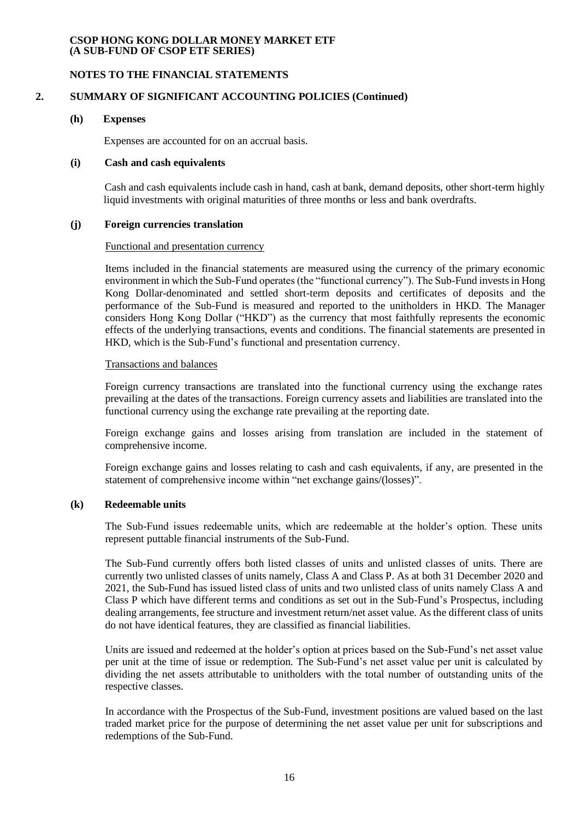## **NOTES TO THE FINANCIAL STATEMENTS**

# **2. SUMMARY OF SIGNIFICANT ACCOUNTING POLICIES (Continued)**

#### **(h) Expenses**

Expenses are accounted for on an accrual basis.

#### **(i) Cash and cash equivalents**

Cash and cash equivalents include cash in hand, cash at bank, demand deposits, other short-term highly liquid investments with original maturities of three months or less and bank overdrafts.

#### **(j) Foreign currencies translation**

#### Functional and presentation currency

Items included in the financial statements are measured using the currency of the primary economic environment in which the Sub-Fund operates (the "functional currency"). The Sub-Fund invests in Hong Kong Dollar-denominated and settled short-term deposits and certificates of deposits and the performance of the Sub-Fund is measured and reported to the unitholders in HKD. The Manager considers Hong Kong Dollar ("HKD") as the currency that most faithfully represents the economic effects of the underlying transactions, events and conditions. The financial statements are presented in HKD, which is the Sub-Fund's functional and presentation currency.

#### Transactions and balances

Foreign currency transactions are translated into the functional currency using the exchange rates prevailing at the dates of the transactions. Foreign currency assets and liabilities are translated into the functional currency using the exchange rate prevailing at the reporting date.

Foreign exchange gains and losses arising from translation are included in the statement of comprehensive income.

Foreign exchange gains and losses relating to cash and cash equivalents, if any, are presented in the statement of comprehensive income within "net exchange gains/(losses)".

#### **(k) Redeemable units**

The Sub-Fund issues redeemable units, which are redeemable at the holder's option. These units represent puttable financial instruments of the Sub-Fund.

The Sub-Fund currently offers both listed classes of units and unlisted classes of units. There are currently two unlisted classes of units namely, Class A and Class P. As at both 31 December 2020 and 2021, the Sub-Fund has issued listed class of units and two unlisted class of units namely Class A and Class P which have different terms and conditions as set out in the Sub-Fund's Prospectus, including dealing arrangements, fee structure and investment return/net asset value. As the different class of units do not have identical features, they are classified as financial liabilities.

Units are issued and redeemed at the holder's option at prices based on the Sub-Fund's net asset value per unit at the time of issue or redemption. The Sub-Fund's net asset value per unit is calculated by dividing the net assets attributable to unitholders with the total number of outstanding units of the respective classes.

In accordance with the Prospectus of the Sub-Fund, investment positions are valued based on the last traded market price for the purpose of determining the net asset value per unit for subscriptions and redemptions of the Sub-Fund.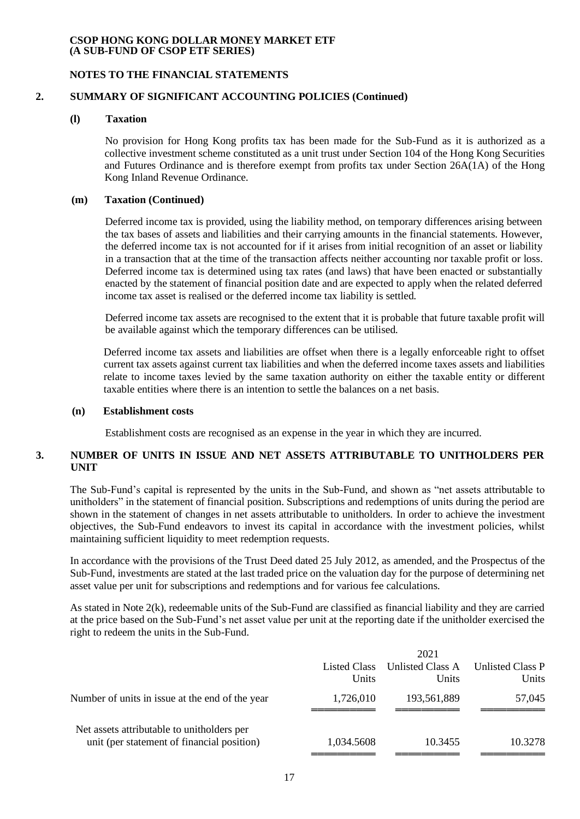## **NOTES TO THE FINANCIAL STATEMENTS**

# **2. SUMMARY OF SIGNIFICANT ACCOUNTING POLICIES (Continued)**

## **(l) Taxation**

No provision for Hong Kong profits tax has been made for the Sub-Fund as it is authorized as a collective investment scheme constituted as a unit trust under Section 104 of the Hong Kong Securities and Futures Ordinance and is therefore exempt from profits tax under Section 26A(1A) of the Hong Kong Inland Revenue Ordinance.

## **(m) Taxation (Continued)**

Deferred income tax is provided, using the liability method, on temporary differences arising between the tax bases of assets and liabilities and their carrying amounts in the financial statements. However, the deferred income tax is not accounted for if it arises from initial recognition of an asset or liability in a transaction that at the time of the transaction affects neither accounting nor taxable profit or loss. Deferred income tax is determined using tax rates (and laws) that have been enacted or substantially enacted by the statement of financial position date and are expected to apply when the related deferred income tax asset is realised or the deferred income tax liability is settled.

Deferred income tax assets are recognised to the extent that it is probable that future taxable profit will be available against which the temporary differences can be utilised.

Deferred income tax assets and liabilities are offset when there is a legally enforceable right to offset current tax assets against current tax liabilities and when the deferred income taxes assets and liabilities relate to income taxes levied by the same taxation authority on either the taxable entity or different taxable entities where there is an intention to settle the balances on a net basis.

#### **(n) Establishment costs**

Establishment costs are recognised as an expense in the year in which they are incurred.

## **3. NUMBER OF UNITS IN ISSUE AND NET ASSETS ATTRIBUTABLE TO UNITHOLDERS PER UNIT**

The Sub-Fund's capital is represented by the units in the Sub-Fund, and shown as "net assets attributable to unitholders" in the statement of financial position. Subscriptions and redemptions of units during the period are shown in the statement of changes in net assets attributable to unitholders. In order to achieve the investment objectives, the Sub-Fund endeavors to invest its capital in accordance with the investment policies, whilst maintaining sufficient liquidity to meet redemption requests.

In accordance with the provisions of the Trust Deed dated 25 July 2012, as amended, and the Prospectus of the Sub-Fund, investments are stated at the last traded price on the valuation day for the purpose of determining net asset value per unit for subscriptions and redemptions and for various fee calculations.

As stated in Note 2(k), redeemable units of the Sub-Fund are classified as financial liability and they are carried at the price based on the Sub-Fund's net asset value per unit at the reporting date if the unitholder exercised the right to redeem the units in the Sub-Fund.

|                                                                                          |                       | 2021                      |                                  |
|------------------------------------------------------------------------------------------|-----------------------|---------------------------|----------------------------------|
|                                                                                          | Listed Class<br>Units | Unlisted Class A<br>Units | <b>Unlisted Class P</b><br>Units |
| Number of units in issue at the end of the year                                          | 1,726,010             | 193,561,889               | 57,045                           |
| Net assets attributable to unitholders per<br>unit (per statement of financial position) | 1,034.5608            | 10.3455                   | 10.3278                          |
|                                                                                          |                       |                           |                                  |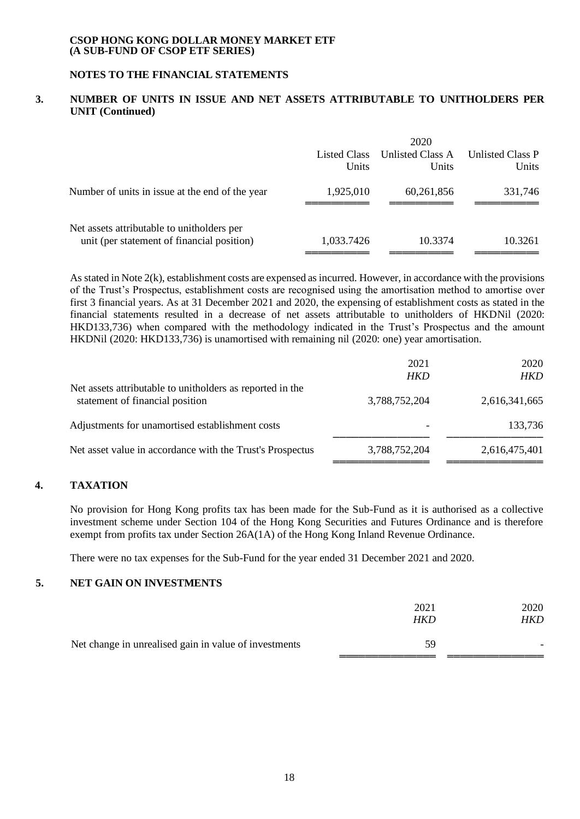# **NOTES TO THE FINANCIAL STATEMENTS**

# **3. NUMBER OF UNITS IN ISSUE AND NET ASSETS ATTRIBUTABLE TO UNITHOLDERS PER UNIT (Continued)**

|                                                                                          | Listed Class<br>Units | 2020<br>Unlisted Class A<br>Units | <b>Unlisted Class P</b><br>Units |
|------------------------------------------------------------------------------------------|-----------------------|-----------------------------------|----------------------------------|
| Number of units in issue at the end of the year                                          | 1,925,010             | 60,261,856                        | 331,746                          |
| Net assets attributable to unitholders per<br>unit (per statement of financial position) | 1,033.7426            | 10.3374                           | 10.3261                          |

As stated in Note 2(k), establishment costs are expensed as incurred. However, in accordance with the provisions of the Trust's Prospectus, establishment costs are recognised using the amortisation method to amortise over first 3 financial years. As at 31 December 2021 and 2020, the expensing of establishment costs as stated in the financial statements resulted in a decrease of net assets attributable to unitholders of HKDNil (2020: HKD133,736) when compared with the methodology indicated in the Trust's Prospectus and the amount HKDNil (2020: HKD133,736) is unamortised with remaining nil (2020: one) year amortisation.

|                                                                                              | 2021<br><b>HKD</b>       | 2020<br>HKD   |
|----------------------------------------------------------------------------------------------|--------------------------|---------------|
| Net assets attributable to unitholders as reported in the<br>statement of financial position | 3,788,752,204            | 2,616,341,665 |
| Adjustments for unamortised establishment costs                                              | $\overline{\phantom{0}}$ | 133,736       |
| Net asset value in accordance with the Trust's Prospectus                                    | 3,788,752,204            | 2,616,475,401 |
|                                                                                              |                          |               |

# **4. TAXATION**

No provision for Hong Kong profits tax has been made for the Sub-Fund as it is authorised as a collective investment scheme under Section 104 of the Hong Kong Securities and Futures Ordinance and is therefore exempt from profits tax under Section 26A(1A) of the Hong Kong Inland Revenue Ordinance.

There were no tax expenses for the Sub-Fund for the year ended 31 December 2021 and 2020.

# **5. NET GAIN ON INVESTMENTS**

|                                                       | 2021<br>HKD | 2020<br>HKD |
|-------------------------------------------------------|-------------|-------------|
| Net change in unrealised gain in value of investments | 59          |             |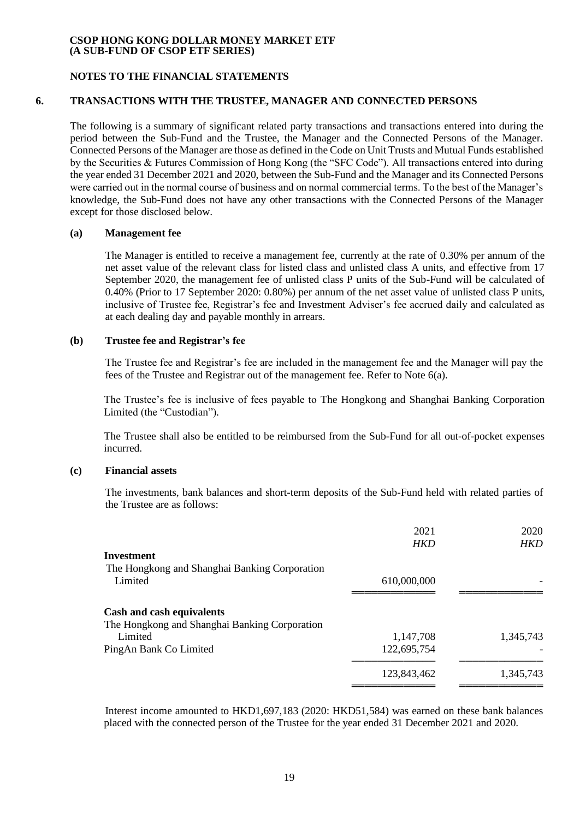## **NOTES TO THE FINANCIAL STATEMENTS**

## **6. TRANSACTIONS WITH THE TRUSTEE, MANAGER AND CONNECTED PERSONS**

The following is a summary of significant related party transactions and transactions entered into during the period between the Sub-Fund and the Trustee, the Manager and the Connected Persons of the Manager. Connected Persons of the Manager are those as defined in the Code on Unit Trusts and Mutual Funds established by the Securities & Futures Commission of Hong Kong (the "SFC Code"). All transactions entered into during the year ended 31 December 2021 and 2020, between the Sub-Fund and the Manager and its Connected Persons were carried out in the normal course of business and on normal commercial terms. To the best of the Manager's knowledge, the Sub-Fund does not have any other transactions with the Connected Persons of the Manager except for those disclosed below.

#### **(a) Management fee**

The Manager is entitled to receive a management fee, currently at the rate of 0.30% per annum of the net asset value of the relevant class for listed class and unlisted class A units, and effective from 17 September 2020, the management fee of unlisted class P units of the Sub-Fund will be calculated of 0.40% (Prior to 17 September 2020: 0.80%) per annum of the net asset value of unlisted class P units, inclusive of Trustee fee, Registrar's fee and Investment Adviser's fee accrued daily and calculated as at each dealing day and payable monthly in arrears.

#### **(b) Trustee fee and Registrar's fee**

The Trustee fee and Registrar's fee are included in the management fee and the Manager will pay the fees of the Trustee and Registrar out of the management fee. Refer to Note 6(a).

The Trustee's fee is inclusive of fees payable to The Hongkong and Shanghai Banking Corporation Limited (the "Custodian").

The Trustee shall also be entitled to be reimbursed from the Sub-Fund for all out-of-pocket expenses incurred.

### **(c) Financial assets**

The investments, bank balances and short-term deposits of the Sub-Fund held with related parties of the Trustee are as follows:

|                                                                            | 2021<br><b>HKD</b> | 2020<br><b>HKD</b> |
|----------------------------------------------------------------------------|--------------------|--------------------|
| Investment                                                                 |                    |                    |
| The Hongkong and Shanghai Banking Corporation<br>Limited                   | 610,000,000        |                    |
| Cash and cash equivalents<br>The Hongkong and Shanghai Banking Corporation |                    |                    |
| Limited                                                                    | 1,147,708          | 1,345,743          |
| PingAn Bank Co Limited                                                     | 122,695,754        |                    |
|                                                                            | 123,843,462        | 1,345,743          |

Interest income amounted to HKD1,697,183 (2020: HKD51,584) was earned on these bank balances placed with the connected person of the Trustee for the year ended 31 December 2021 and 2020.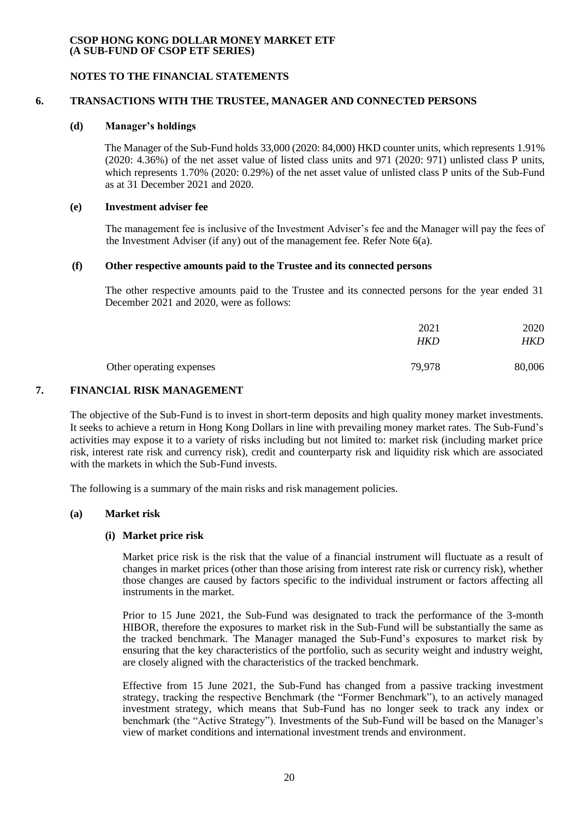#### **NOTES TO THE FINANCIAL STATEMENTS**

## **6. TRANSACTIONS WITH THE TRUSTEE, MANAGER AND CONNECTED PERSONS**

#### **(d) Manager's holdings**

The Manager of the Sub-Fund holds 33,000 (2020: 84,000) HKD counter units, which represents 1.91% (2020: 4.36%) of the net asset value of listed class units and 971 (2020: 971) unlisted class P units, which represents 1.70% (2020: 0.29%) of the net asset value of unlisted class P units of the Sub-Fund as at 31 December 2021 and 2020.

#### **(e) Investment adviser fee**

The management fee is inclusive of the Investment Adviser's fee and the Manager will pay the fees of the Investment Adviser (if any) out of the management fee. Refer Note 6(a).

### **(f) Other respective amounts paid to the Trustee and its connected persons**

The other respective amounts paid to the Trustee and its connected persons for the year ended 31 December 2021 and 2020, were as follows:

|                          | 2021<br>HKD | 2020<br>HKD |
|--------------------------|-------------|-------------|
| Other operating expenses | 79,978      | 80,006      |

## **7. FINANCIAL RISK MANAGEMENT**

The objective of the Sub-Fund is to invest in short-term deposits and high quality money market investments. It seeks to achieve a return in Hong Kong Dollars in line with prevailing money market rates. The Sub-Fund's activities may expose it to a variety of risks including but not limited to: market risk (including market price risk, interest rate risk and currency risk), credit and counterparty risk and liquidity risk which are associated with the markets in which the Sub-Fund invests.

The following is a summary of the main risks and risk management policies.

## **(a) Market risk**

## **(i) Market price risk**

Market price risk is the risk that the value of a financial instrument will fluctuate as a result of changes in market prices (other than those arising from interest rate risk or currency risk), whether those changes are caused by factors specific to the individual instrument or factors affecting all instruments in the market.

Prior to 15 June 2021, the Sub-Fund was designated to track the performance of the 3-month HIBOR, therefore the exposures to market risk in the Sub-Fund will be substantially the same as the tracked benchmark. The Manager managed the Sub-Fund's exposures to market risk by ensuring that the key characteristics of the portfolio, such as security weight and industry weight, are closely aligned with the characteristics of the tracked benchmark.

Effective from 15 June 2021, the Sub-Fund has changed from a passive tracking investment strategy, tracking the respective Benchmark (the "Former Benchmark"), to an actively managed investment strategy, which means that Sub-Fund has no longer seek to track any index or benchmark (the "Active Strategy"). Investments of the Sub-Fund will be based on the Manager's view of market conditions and international investment trends and environment.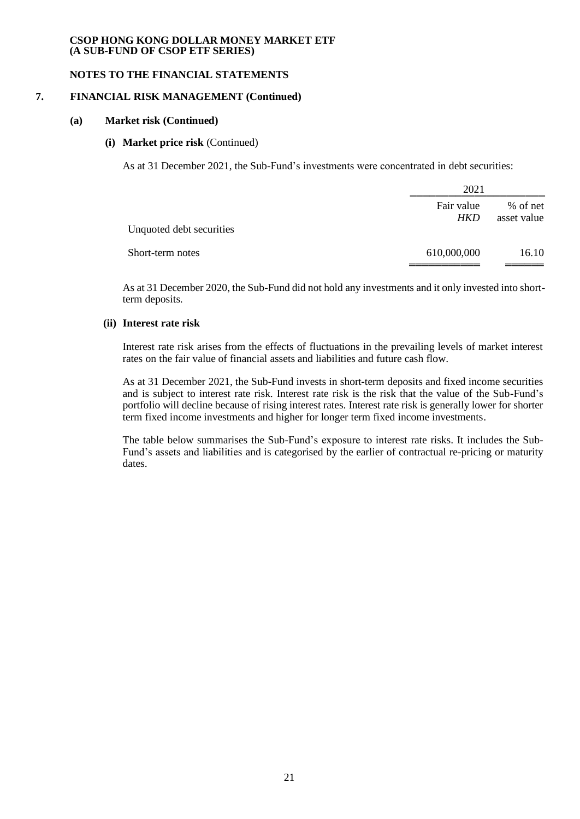### **NOTES TO THE FINANCIAL STATEMENTS**

#### **7. FINANCIAL RISK MANAGEMENT (Continued)**

#### **(a) Market risk (Continued)**

## **(i) Market price risk** (Continued)

As at 31 December 2021, the Sub-Fund's investments were concentrated in debt securities:

|                          | 2021              |                         |  |
|--------------------------|-------------------|-------------------------|--|
| Unquoted debt securities | Fair value<br>HKD | % of net<br>asset value |  |
| Short-term notes         | 610,000,000       | 16.10                   |  |

As at 31 December 2020, the Sub-Fund did not hold any investments and it only invested into shortterm deposits.

## **(ii) Interest rate risk**

Interest rate risk arises from the effects of fluctuations in the prevailing levels of market interest rates on the fair value of financial assets and liabilities and future cash flow.

As at 31 December 2021, the Sub-Fund invests in short-term deposits and fixed income securities and is subject to interest rate risk. Interest rate risk is the risk that the value of the Sub-Fund's portfolio will decline because of rising interest rates. Interest rate risk is generally lower for shorter term fixed income investments and higher for longer term fixed income investments.

The table below summarises the Sub-Fund's exposure to interest rate risks. It includes the Sub-Fund's assets and liabilities and is categorised by the earlier of contractual re-pricing or maturity dates.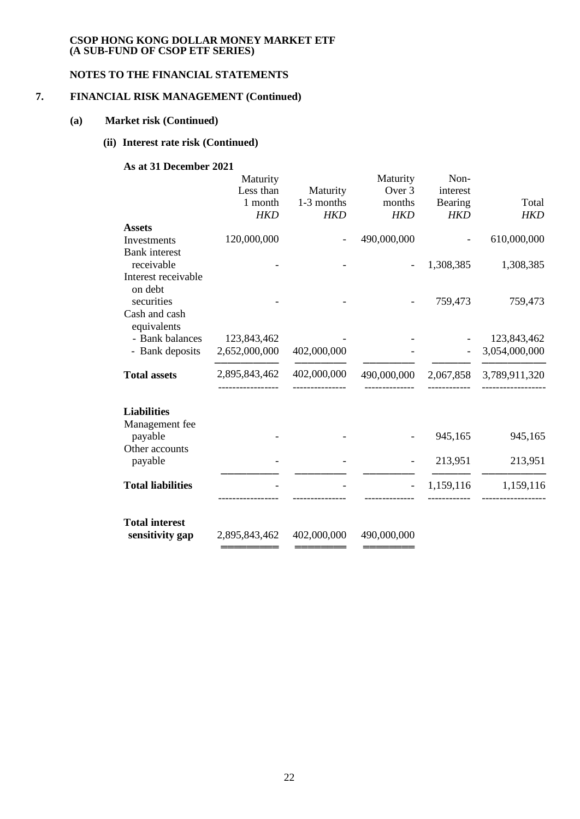# **NOTES TO THE FINANCIAL STATEMENTS**

# **7. FINANCIAL RISK MANAGEMENT (Continued)**

#### **(a) Market risk (Continued)**

# **(ii) Interest rate risk (Continued)**

## **As at 31 December 2021**

|                                    | Maturity<br>Less than<br>1 month | Maturity<br>1-3 months | Maturity<br>Over 3<br>months | Non-<br>interest<br>Bearing | Total         |
|------------------------------------|----------------------------------|------------------------|------------------------------|-----------------------------|---------------|
|                                    | <b>HKD</b>                       | <b>HKD</b>             | <b>HKD</b>                   | <b>HKD</b>                  | <b>HKD</b>    |
| <b>Assets</b>                      |                                  |                        |                              |                             |               |
| Investments                        | 120,000,000                      |                        | 490,000,000                  |                             | 610,000,000   |
| <b>Bank</b> interest<br>receivable |                                  |                        |                              | 1,308,385                   | 1,308,385     |
| Interest receivable<br>on debt     |                                  |                        |                              |                             |               |
| securities                         |                                  |                        |                              | 759,473                     | 759,473       |
| Cash and cash<br>equivalents       |                                  |                        |                              |                             |               |
| - Bank balances                    | 123,843,462                      |                        |                              |                             | 123,843,462   |
| - Bank deposits                    | 2,652,000,000                    | 402,000,000            |                              |                             | 3,054,000,000 |
| <b>Total assets</b>                | 2,895,843,462                    | 402,000,000            | 490,000,000                  | 2,067,858                   | 3,789,911,320 |
|                                    |                                  |                        |                              |                             |               |
| <b>Liabilities</b>                 |                                  |                        |                              |                             |               |
| Management fee<br>payable          |                                  |                        |                              | 945,165                     | 945,165       |
| Other accounts<br>payable          |                                  |                        |                              | 213,951                     | 213,951       |
|                                    |                                  |                        |                              |                             |               |
| <b>Total liabilities</b>           |                                  |                        |                              | 1,159,116                   | 1,159,116     |
|                                    |                                  |                        |                              |                             |               |
| <b>Total interest</b>              |                                  |                        |                              |                             |               |
| sensitivity gap                    | 2,895,843,462                    | 402,000,000            | 490,000,000                  |                             |               |
|                                    |                                  |                        |                              |                             |               |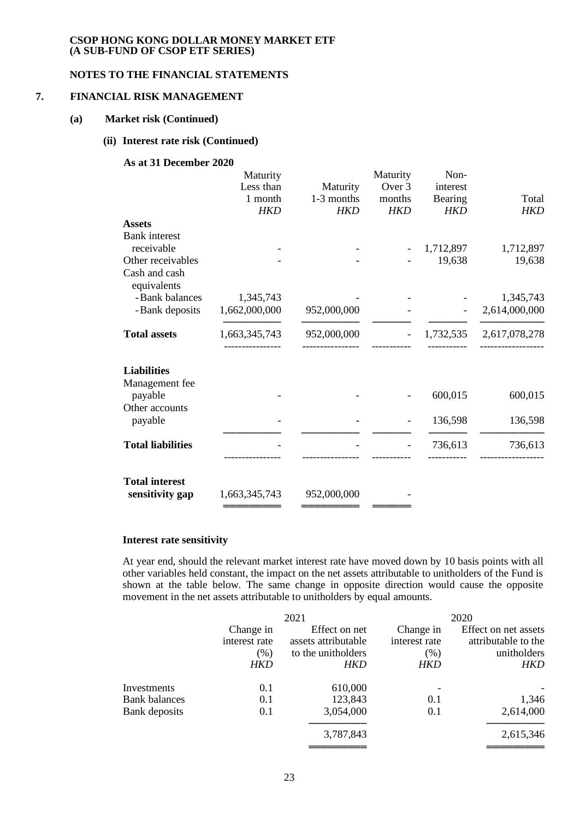# **NOTES TO THE FINANCIAL STATEMENTS**

#### **7. FINANCIAL RISK MANAGEMENT**

#### **(a) Market risk (Continued)**

#### **(ii) Interest rate risk (Continued)**

## **As at 31 December 2020**

|                           | Maturity      |             | Maturity   | Non-       |               |
|---------------------------|---------------|-------------|------------|------------|---------------|
|                           | Less than     | Maturity    | Over 3     | interest   |               |
|                           | 1 month       | 1-3 months  | months     | Bearing    | Total         |
|                           | <b>HKD</b>    | <b>HKD</b>  | <b>HKD</b> | <b>HKD</b> | <b>HKD</b>    |
| <b>Assets</b>             |               |             |            |            |               |
| <b>Bank</b> interest      |               |             |            |            |               |
| receivable                |               |             |            | 1,712,897  | 1,712,897     |
| Other receivables         |               |             |            | 19,638     | 19,638        |
| Cash and cash             |               |             |            |            |               |
| equivalents               |               |             |            |            |               |
| - Bank balances           | 1,345,743     |             |            |            | 1,345,743     |
| - Bank deposits           | 1,662,000,000 | 952,000,000 |            |            | 2,614,000,000 |
|                           |               |             |            |            |               |
| <b>Total assets</b>       | 1,663,345,743 | 952,000,000 |            | 1,732,535  | 2,617,078,278 |
|                           |               |             |            |            |               |
| <b>Liabilities</b>        |               |             |            |            |               |
| Management fee            |               |             |            |            |               |
|                           |               |             |            | 600,015    | 600,015       |
| payable<br>Other accounts |               |             |            |            |               |
|                           |               |             |            |            |               |
| payable                   |               |             |            | 136,598    | 136,598       |
| <b>Total liabilities</b>  |               |             |            | 736,613    | 736,613       |
|                           |               |             |            |            |               |
|                           |               |             |            |            |               |
| <b>Total interest</b>     |               |             |            |            |               |
| sensitivity gap           | 1,663,345,743 | 952,000,000 |            |            |               |
|                           |               |             |            |            |               |
|                           |               |             |            |            |               |

#### **Interest rate sensitivity**

At year end, should the relevant market interest rate have moved down by 10 basis points with all other variables held constant, the impact on the net assets attributable to unitholders of the Fund is shown at the table below. The same change in opposite direction would cause the opposite movement in the net assets attributable to unitholders by equal amounts.

|                      | 2021          |                     | 2020          |                      |  |
|----------------------|---------------|---------------------|---------------|----------------------|--|
|                      | Change in     | Effect on net       | Change in     | Effect on net assets |  |
|                      | interest rate | assets attributable | interest rate | attributable to the  |  |
|                      | (% )          | to the unitholders  | $(\% )$       | unitholders          |  |
|                      | HKD           | HKD                 | HKD           | HKD                  |  |
| Investments          | 0.1           | 610,000             |               |                      |  |
| <b>Bank</b> balances | 0.1           | 123,843             | 0.1           | 1,346                |  |
| Bank deposits        | 0.1           | 3,054,000           | 0.1           | 2,614,000            |  |
|                      |               | 3,787,843           |               | 2,615,346            |  |
|                      |               |                     |               |                      |  |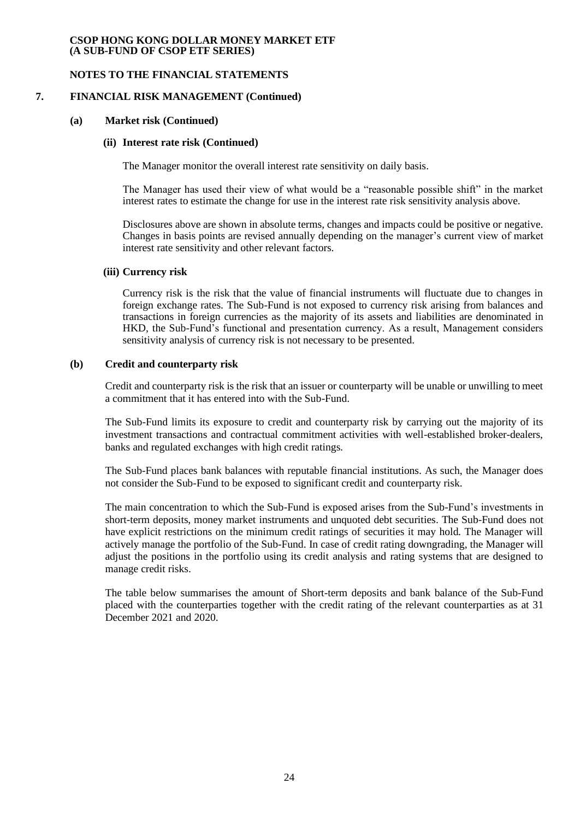## **NOTES TO THE FINANCIAL STATEMENTS**

### **7. FINANCIAL RISK MANAGEMENT (Continued)**

#### **(a) Market risk (Continued)**

## **(ii) Interest rate risk (Continued)**

The Manager monitor the overall interest rate sensitivity on daily basis.

The Manager has used their view of what would be a "reasonable possible shift" in the market interest rates to estimate the change for use in the interest rate risk sensitivity analysis above.

Disclosures above are shown in absolute terms, changes and impacts could be positive or negative. Changes in basis points are revised annually depending on the manager's current view of market interest rate sensitivity and other relevant factors.

#### **(iii) Currency risk**

Currency risk is the risk that the value of financial instruments will fluctuate due to changes in foreign exchange rates. The Sub-Fund is not exposed to currency risk arising from balances and transactions in foreign currencies as the majority of its assets and liabilities are denominated in HKD, the Sub-Fund's functional and presentation currency. As a result, Management considers sensitivity analysis of currency risk is not necessary to be presented.

#### **(b) Credit and counterparty risk**

Credit and counterparty risk is the risk that an issuer or counterparty will be unable or unwilling to meet a commitment that it has entered into with the Sub-Fund.

The Sub-Fund limits its exposure to credit and counterparty risk by carrying out the majority of its investment transactions and contractual commitment activities with well-established broker-dealers, banks and regulated exchanges with high credit ratings.

The Sub-Fund places bank balances with reputable financial institutions. As such, the Manager does not consider the Sub-Fund to be exposed to significant credit and counterparty risk.

The main concentration to which the Sub-Fund is exposed arises from the Sub-Fund's investments in short-term deposits, money market instruments and unquoted debt securities. The Sub-Fund does not have explicit restrictions on the minimum credit ratings of securities it may hold. The Manager will actively manage the portfolio of the Sub-Fund. In case of credit rating downgrading, the Manager will adjust the positions in the portfolio using its credit analysis and rating systems that are designed to manage credit risks.

The table below summarises the amount of Short-term deposits and bank balance of the Sub-Fund placed with the counterparties together with the credit rating of the relevant counterparties as at 31 December 2021 and 2020.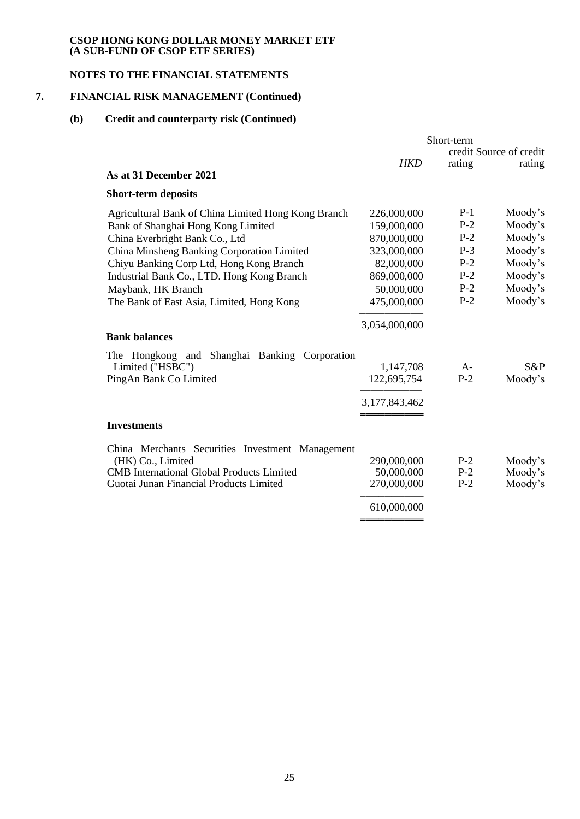# **NOTES TO THE FINANCIAL STATEMENTS**

# **7. FINANCIAL RISK MANAGEMENT (Continued)**

# **(b) Credit and counterparty risk (Continued)**

|                                                     | Short-term    |        |                         |
|-----------------------------------------------------|---------------|--------|-------------------------|
|                                                     |               |        | credit Source of credit |
| As at 31 December 2021                              | <b>HKD</b>    | rating | rating                  |
| <b>Short-term deposits</b>                          |               |        |                         |
| Agricultural Bank of China Limited Hong Kong Branch | 226,000,000   | $P-1$  | Moody's                 |
| Bank of Shanghai Hong Kong Limited                  | 159,000,000   | $P-2$  | Moody's                 |
| China Everbright Bank Co., Ltd                      | 870,000,000   | $P-2$  | Moody's                 |
| China Minsheng Banking Corporation Limited          | 323,000,000   | $P-3$  | Moody's                 |
| Chiyu Banking Corp Ltd, Hong Kong Branch            | 82,000,000    | $P-2$  | Moody's                 |
| Industrial Bank Co., LTD. Hong Kong Branch          | 869,000,000   | $P-2$  | Moody's                 |
| Maybank, HK Branch                                  | 50,000,000    | $P-2$  | Moody's                 |
| The Bank of East Asia, Limited, Hong Kong           | 475,000,000   | $P-2$  | Moody's                 |
|                                                     | 3,054,000,000 |        |                         |
| <b>Bank balances</b>                                |               |        |                         |
| The Hongkong and Shanghai Banking Corporation       |               |        |                         |
| Limited ("HSBC")                                    | 1,147,708     | $A-$   | $S\&P$                  |
| PingAn Bank Co Limited                              | 122,695,754   | $P-2$  | Moody's                 |
|                                                     | 3,177,843,462 |        |                         |
|                                                     |               |        |                         |
| <b>Investments</b>                                  |               |        |                         |
| China Merchants Securities Investment Management    |               |        |                         |
| (HK) Co., Limited                                   | 290,000,000   | $P-2$  | Moody's                 |
| <b>CMB</b> International Global Products Limited    | 50,000,000    | $P-2$  | Moody's                 |
| Guotai Junan Financial Products Limited             | 270,000,000   | $P-2$  | Moody's                 |
|                                                     | 610,000,000   |        |                         |
|                                                     |               |        |                         |
|                                                     |               |        |                         |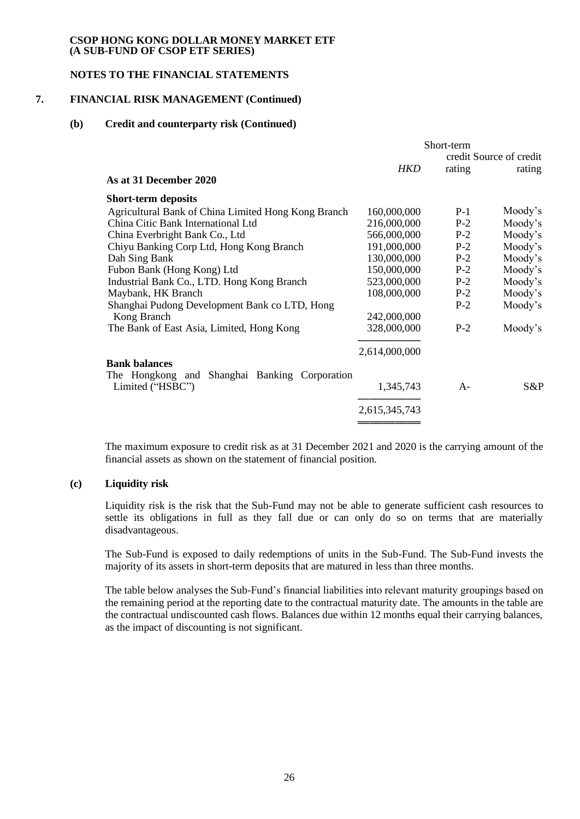## **NOTES TO THE FINANCIAL STATEMENTS**

# **7. FINANCIAL RISK MANAGEMENT (Continued)**

## **(b) Credit and counterparty risk (Continued)**

|                                                     | Short-term    |        |                         |
|-----------------------------------------------------|---------------|--------|-------------------------|
|                                                     |               |        | credit Source of credit |
|                                                     | HKD           | rating | rating                  |
| As at 31 December 2020                              |               |        |                         |
| <b>Short-term deposits</b>                          |               |        |                         |
| Agricultural Bank of China Limited Hong Kong Branch | 160,000,000   | $P-1$  | Moody's                 |
| China Citic Bank International Ltd                  | 216,000,000   | $P-2$  | Moody's                 |
| China Everbright Bank Co., Ltd                      | 566,000,000   | $P-2$  | Moody's                 |
| Chiyu Banking Corp Ltd, Hong Kong Branch            | 191,000,000   | $P-2$  | Moody's                 |
| Dah Sing Bank                                       | 130,000,000   | $P-2$  | Moody's                 |
| Fubon Bank (Hong Kong) Ltd                          | 150,000,000   | $P-2$  | Moody's                 |
| Industrial Bank Co., LTD. Hong Kong Branch          | 523,000,000   | $P-2$  | Moody's                 |
| Maybank, HK Branch                                  | 108,000,000   | $P-2$  | Moody's                 |
| Shanghai Pudong Development Bank co LTD, Hong       |               | $P-2$  | Moody's                 |
| Kong Branch                                         | 242,000,000   |        |                         |
| The Bank of East Asia, Limited, Hong Kong           | 328,000,000   | $P-2$  | Moody's                 |
|                                                     | 2,614,000,000 |        |                         |
| <b>Bank balances</b>                                |               |        |                         |
| The Hongkong and Shanghai Banking Corporation       |               |        |                         |
| Limited ("HSBC")                                    | 1,345,743     | $A -$  | S&P                     |
|                                                     | 2,615,345,743 |        |                         |
|                                                     |               |        |                         |

The maximum exposure to credit risk as at 31 December 2021 and 2020 is the carrying amount of the financial assets as shown on the statement of financial position.

## **(c) Liquidity risk**

Liquidity risk is the risk that the Sub-Fund may not be able to generate sufficient cash resources to settle its obligations in full as they fall due or can only do so on terms that are materially disadvantageous.

The Sub-Fund is exposed to daily redemptions of units in the Sub-Fund. The Sub-Fund invests the majority of its assets in short-term deposits that are matured in less than three months.

The table below analyses the Sub-Fund's financial liabilities into relevant maturity groupings based on the remaining period at the reporting date to the contractual maturity date. The amounts in the table are the contractual undiscounted cash flows. Balances due within 12 months equal their carrying balances, as the impact of discounting is not significant.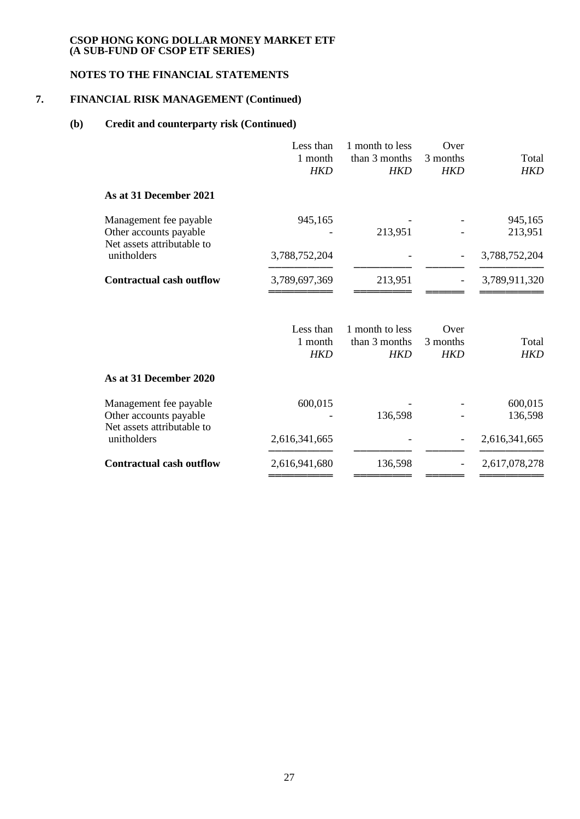# **NOTES TO THE FINANCIAL STATEMENTS**

# **7. FINANCIAL RISK MANAGEMENT (Continued)**

# **(b) Credit and counterparty risk (Continued)**

|                                                                                | Less than<br>1 month<br><b>HKD</b> | 1 month to less<br>than 3 months<br><b>HKD</b> | Over<br>3 months<br><b>HKD</b> | Total<br><b>HKD</b> |
|--------------------------------------------------------------------------------|------------------------------------|------------------------------------------------|--------------------------------|---------------------|
| As at 31 December 2021                                                         |                                    |                                                |                                |                     |
| Management fee payable<br>Other accounts payable<br>Net assets attributable to | 945,165                            | 213,951                                        |                                | 945,165<br>213,951  |
| unitholders                                                                    | 3,788,752,204                      |                                                |                                | 3,788,752,204       |
| <b>Contractual cash outflow</b>                                                | 3,789,697,369                      | 213,951                                        |                                | 3,789,911,320       |
|                                                                                | Less than<br>1 month<br><b>HKD</b> | 1 month to less<br>than 3 months<br><b>HKD</b> | Over<br>3 months<br><b>HKD</b> | Total<br><b>HKD</b> |
| As at 31 December 2020                                                         |                                    |                                                |                                |                     |
| Management fee payable<br>Other accounts payable<br>Net assets attributable to | 600,015                            | 136,598                                        |                                | 600,015<br>136,598  |
| unitholders                                                                    | 2,616,341,665                      |                                                |                                | 2,616,341,665       |
| <b>Contractual cash outflow</b>                                                | 2,616,941,680                      | 136,598                                        |                                | 2,617,078,278       |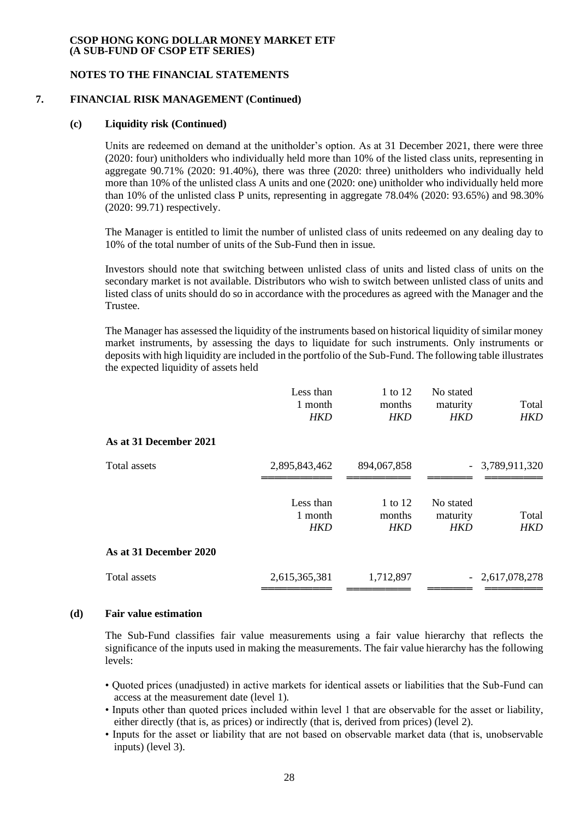## **NOTES TO THE FINANCIAL STATEMENTS**

### **7. FINANCIAL RISK MANAGEMENT (Continued)**

#### **(c) Liquidity risk (Continued)**

Units are redeemed on demand at the unitholder's option. As at 31 December 2021, there were three (2020: four) unitholders who individually held more than 10% of the listed class units, representing in aggregate 90.71% (2020: 91.40%), there was three (2020: three) unitholders who individually held more than 10% of the unlisted class A units and one (2020: one) unitholder who individually held more than 10% of the unlisted class P units, representing in aggregate 78.04% (2020: 93.65%) and 98.30% (2020: 99.71) respectively.

The Manager is entitled to limit the number of unlisted class of units redeemed on any dealing day to 10% of the total number of units of the Sub-Fund then in issue.

Investors should note that switching between unlisted class of units and listed class of units on the secondary market is not available. Distributors who wish to switch between unlisted class of units and listed class of units should do so in accordance with the procedures as agreed with the Manager and the Trustee.

The Manager has assessed the liquidity of the instruments based on historical liquidity of similar money market instruments, by assessing the days to liquidate for such instruments. Only instruments or deposits with high liquidity are included in the portfolio of the Sub-Fund. The following table illustrates the expected liquidity of assets held

|                        | Less than<br>1 month<br><b>HKD</b> | 1 to 12<br>months<br>HKD | No stated<br>maturity<br><b>HKD</b> | Total<br><b>HKD</b> |
|------------------------|------------------------------------|--------------------------|-------------------------------------|---------------------|
| As at 31 December 2021 |                                    |                          |                                     |                     |
| Total assets           | 2,895,843,462                      | 894,067,858              |                                     | $-3,789,911,320$    |
|                        | Less than<br>1 month<br>HKD        | 1 to 12<br>months<br>HKD | No stated<br>maturity<br><b>HKD</b> | Total<br>HKD        |
| As at 31 December 2020 |                                    |                          |                                     |                     |
| Total assets           | 2,615,365,381                      | 1,712,897                |                                     | $-2,617,078,278$    |
|                        |                                    |                          |                                     |                     |

#### **(d) Fair value estimation**

The Sub-Fund classifies fair value measurements using a fair value hierarchy that reflects the significance of the inputs used in making the measurements. The fair value hierarchy has the following levels:

- Quoted prices (unadjusted) in active markets for identical assets or liabilities that the Sub-Fund can access at the measurement date (level 1).
- Inputs other than quoted prices included within level 1 that are observable for the asset or liability, either directly (that is, as prices) or indirectly (that is, derived from prices) (level 2).
- Inputs for the asset or liability that are not based on observable market data (that is, unobservable inputs) (level 3).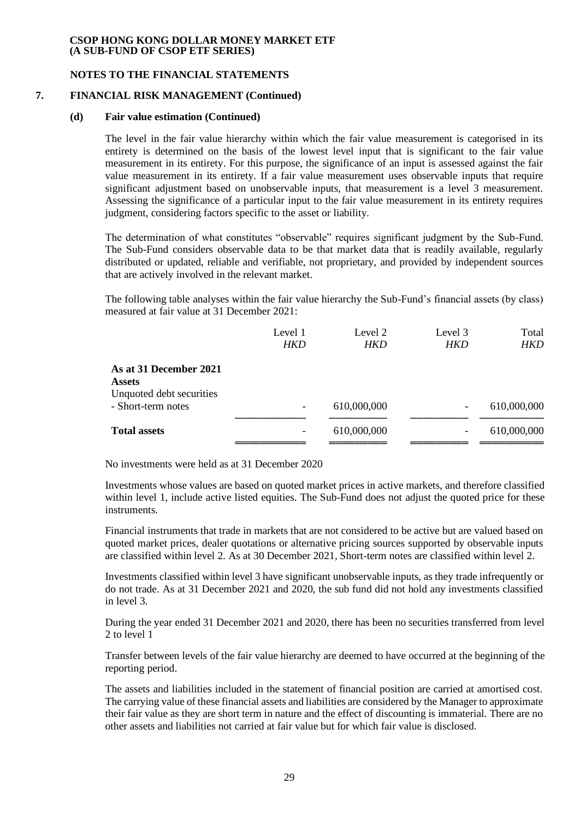## **NOTES TO THE FINANCIAL STATEMENTS**

## **7. FINANCIAL RISK MANAGEMENT (Continued)**

#### **(d) Fair value estimation (Continued)**

The level in the fair value hierarchy within which the fair value measurement is categorised in its entirety is determined on the basis of the lowest level input that is significant to the fair value measurement in its entirety. For this purpose, the significance of an input is assessed against the fair value measurement in its entirety. If a fair value measurement uses observable inputs that require significant adjustment based on unobservable inputs, that measurement is a level 3 measurement. Assessing the significance of a particular input to the fair value measurement in its entirety requires judgment, considering factors specific to the asset or liability.

The determination of what constitutes "observable" requires significant judgment by the Sub-Fund. The Sub-Fund considers observable data to be that market data that is readily available, regularly distributed or updated, reliable and verifiable, not proprietary, and provided by independent sources that are actively involved in the relevant market.

The following table analyses within the fair value hierarchy the Sub-Fund's financial assets (by class) measured at fair value at 31 December 2021:

|                          | Level 1                  | Level 2     | Level 3    | Total       |
|--------------------------|--------------------------|-------------|------------|-------------|
|                          | HKD                      | <b>HKD</b>  | <b>HKD</b> | <b>HKD</b>  |
| As at 31 December 2021   |                          |             |            |             |
| <b>Assets</b>            |                          |             |            |             |
| Unquoted debt securities |                          |             |            |             |
| - Short-term notes       | $\overline{\phantom{0}}$ | 610,000,000 | -          | 610,000,000 |
|                          |                          |             |            |             |
| <b>Total assets</b>      | -                        | 610,000,000 | -          | 610,000,000 |
|                          |                          |             |            |             |

No investments were held as at 31 December 2020

Investments whose values are based on quoted market prices in active markets, and therefore classified within level 1, include active listed equities. The Sub-Fund does not adjust the quoted price for these instruments.

Financial instruments that trade in markets that are not considered to be active but are valued based on quoted market prices, dealer quotations or alternative pricing sources supported by observable inputs are classified within level 2. As at 30 December 2021, Short-term notes are classified within level 2.

Investments classified within level 3 have significant unobservable inputs, as they trade infrequently or do not trade. As at 31 December 2021 and 2020, the sub fund did not hold any investments classified in level 3.

During the year ended 31 December 2021 and 2020, there has been no securities transferred from level 2 to level 1

Transfer between levels of the fair value hierarchy are deemed to have occurred at the beginning of the reporting period.

The assets and liabilities included in the statement of financial position are carried at amortised cost. The carrying value of these financial assets and liabilities are considered by the Manager to approximate their fair value as they are short term in nature and the effect of discounting is immaterial. There are no other assets and liabilities not carried at fair value but for which fair value is disclosed.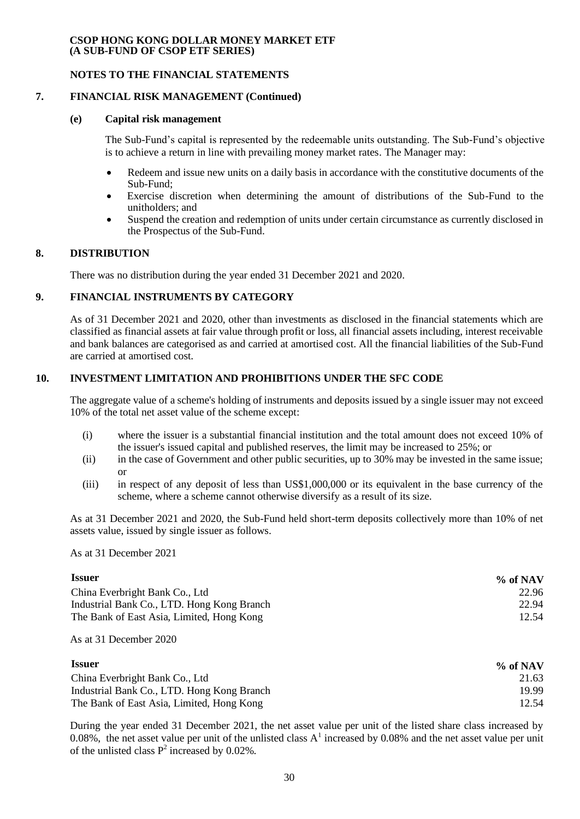## **NOTES TO THE FINANCIAL STATEMENTS**

## **7. FINANCIAL RISK MANAGEMENT (Continued)**

#### **(e) Capital risk management**

The Sub-Fund's capital is represented by the redeemable units outstanding. The Sub-Fund's objective is to achieve a return in line with prevailing money market rates. The Manager may:

- Redeem and issue new units on a daily basis in accordance with the constitutive documents of the Sub-Fund;
- Exercise discretion when determining the amount of distributions of the Sub-Fund to the unitholders; and
- Suspend the creation and redemption of units under certain circumstance as currently disclosed in the Prospectus of the Sub-Fund.

## **8. DISTRIBUTION**

There was no distribution during the year ended 31 December 2021 and 2020.

# **9. FINANCIAL INSTRUMENTS BY CATEGORY**

As of 31 December 2021 and 2020, other than investments as disclosed in the financial statements which are classified as financial assets at fair value through profit or loss, all financial assets including, interest receivable and bank balances are categorised as and carried at amortised cost. All the financial liabilities of the Sub-Fund are carried at amortised cost.

# **10. INVESTMENT LIMITATION AND PROHIBITIONS UNDER THE SFC CODE**

The aggregate value of a scheme's holding of instruments and deposits issued by a single issuer may not exceed 10% of the total net asset value of the scheme except:

- (i) where the issuer is a substantial financial institution and the total amount does not exceed 10% of the issuer's issued capital and published reserves, the limit may be increased to 25%; or
- (ii) in the case of Government and other public securities, up to 30% may be invested in the same issue; or
- (iii) in respect of any deposit of less than US\$1,000,000 or its equivalent in the base currency of the scheme, where a scheme cannot otherwise diversify as a result of its size.

As at 31 December 2021 and 2020, the Sub-Fund held short-term deposits collectively more than 10% of net assets value, issued by single issuer as follows.

As at 31 December 2021

| <i><u><b>Issuer</b></u></i>                | $\%$ of NAV |
|--------------------------------------------|-------------|
| China Everbright Bank Co., Ltd             | 22.96       |
| Industrial Bank Co., LTD. Hong Kong Branch | 22.94       |
| The Bank of East Asia, Limited, Hong Kong  | 12.54       |

As at 31 December 2020

| <b>Issuer</b>                              | $\%$ of NAV |
|--------------------------------------------|-------------|
| China Everbright Bank Co., Ltd             | 21.63       |
| Industrial Bank Co., LTD. Hong Kong Branch | 19.99       |
| The Bank of East Asia, Limited, Hong Kong  | 12.54       |

During the year ended 31 December 2021, the net asset value per unit of the listed share class increased by 0.08%, the net asset value per unit of the unlisted class  $A<sup>1</sup>$  increased by 0.08% and the net asset value per unit of the unlisted class  $P^2$  increased by 0.02%.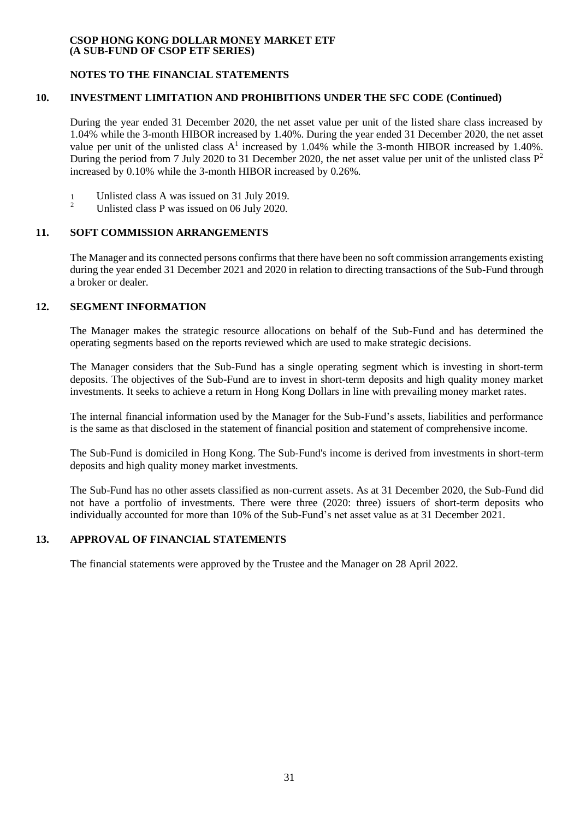## **NOTES TO THE FINANCIAL STATEMENTS**

## **10. INVESTMENT LIMITATION AND PROHIBITIONS UNDER THE SFC CODE (Continued)**

During the year ended 31 December 2020, the net asset value per unit of the listed share class increased by 1.04% while the 3-month HIBOR increased by 1.40%. During the year ended 31 December 2020, the net asset value per unit of the unlisted class  $A<sup>1</sup>$  increased by 1.04% while the 3-month HIBOR increased by 1.40%. During the period from 7 July 2020 to 31 December 2020, the net asset value per unit of the unlisted class  $P^2$ increased by 0.10% while the 3-month HIBOR increased by 0.26%.

- 1 Unlisted class A was issued on 31 July 2019.
- <sup>2</sup> Unlisted class P was issued on 06 July 2020.

# **11. SOFT COMMISSION ARRANGEMENTS**

The Manager and its connected persons confirms that there have been no soft commission arrangements existing during the year ended 31 December 2021 and 2020 in relation to directing transactions of the Sub-Fund through a broker or dealer.

# **12. SEGMENT INFORMATION**

The Manager makes the strategic resource allocations on behalf of the Sub-Fund and has determined the operating segments based on the reports reviewed which are used to make strategic decisions.

The Manager considers that the Sub-Fund has a single operating segment which is investing in short-term deposits. The objectives of the Sub-Fund are to invest in short-term deposits and high quality money market investments. It seeks to achieve a return in Hong Kong Dollars in line with prevailing money market rates.

The internal financial information used by the Manager for the Sub-Fund's assets, liabilities and performance is the same as that disclosed in the statement of financial position and statement of comprehensive income.

The Sub-Fund is domiciled in Hong Kong. The Sub-Fund's income is derived from investments in short-term deposits and high quality money market investments.

The Sub-Fund has no other assets classified as non-current assets. As at 31 December 2020, the Sub-Fund did not have a portfolio of investments. There were three (2020: three) issuers of short-term deposits who individually accounted for more than 10% of the Sub-Fund's net asset value as at 31 December 2021.

# **13. APPROVAL OF FINANCIAL STATEMENTS**

The financial statements were approved by the Trustee and the Manager on 28 April 2022.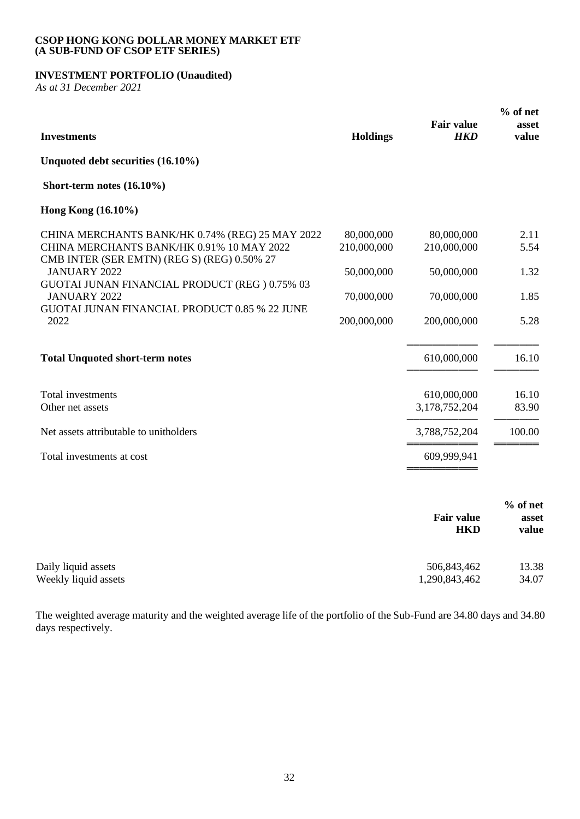# **INVESTMENT PORTFOLIO (Unaudited)**

*As at 31 December 2021*

| <b>Investments</b>                                                                                                                                                 | <b>Holdings</b>                         | <b>Fair value</b><br><b>HKD</b>         | $%$ of net<br>asset<br>value |
|--------------------------------------------------------------------------------------------------------------------------------------------------------------------|-----------------------------------------|-----------------------------------------|------------------------------|
| Unquoted debt securities (16.10%)                                                                                                                                  |                                         |                                         |                              |
| Short-term notes $(16.10\%)$                                                                                                                                       |                                         |                                         |                              |
| Hong Kong (16.10%)                                                                                                                                                 |                                         |                                         |                              |
| CHINA MERCHANTS BANK/HK 0.74% (REG) 25 MAY 2022<br>CHINA MERCHANTS BANK/HK 0.91% 10 MAY 2022<br>CMB INTER (SER EMTN) (REG S) (REG) 0.50% 27<br><b>JANUARY 2022</b> | 80,000,000<br>210,000,000<br>50,000,000 | 80,000,000<br>210,000,000<br>50,000,000 | 2.11<br>5.54<br>1.32         |
| GUOTAI JUNAN FINANCIAL PRODUCT (REG) 0.75% 03<br><b>JANUARY 2022</b><br><b>GUOTAI JUNAN FINANCIAL PRODUCT 0.85 % 22 JUNE</b><br>2022                               | 70,000,000<br>200,000,000               | 70,000,000<br>200,000,000               | 1.85<br>5.28                 |
| <b>Total Unquoted short-term notes</b>                                                                                                                             |                                         | 610,000,000                             | 16.10                        |
| Total investments<br>Other net assets                                                                                                                              |                                         | 610,000,000<br>3,178,752,204            | 16.10<br>83.90               |
| Net assets attributable to unitholders                                                                                                                             |                                         | 3,788,752,204                           | 100.00                       |
| Total investments at cost                                                                                                                                          |                                         | 609,999,941                             |                              |
|                                                                                                                                                                    |                                         | <b>Fair value</b><br><b>HKD</b>         | % of net<br>asset<br>value   |
| Daily liquid assets<br>Weekly liquid assets                                                                                                                        |                                         | 506,843,462<br>1,290,843,462            | 13.38<br>34.07               |

The weighted average maturity and the weighted average life of the portfolio of the Sub-Fund are 34.80 days and 34.80 days respectively.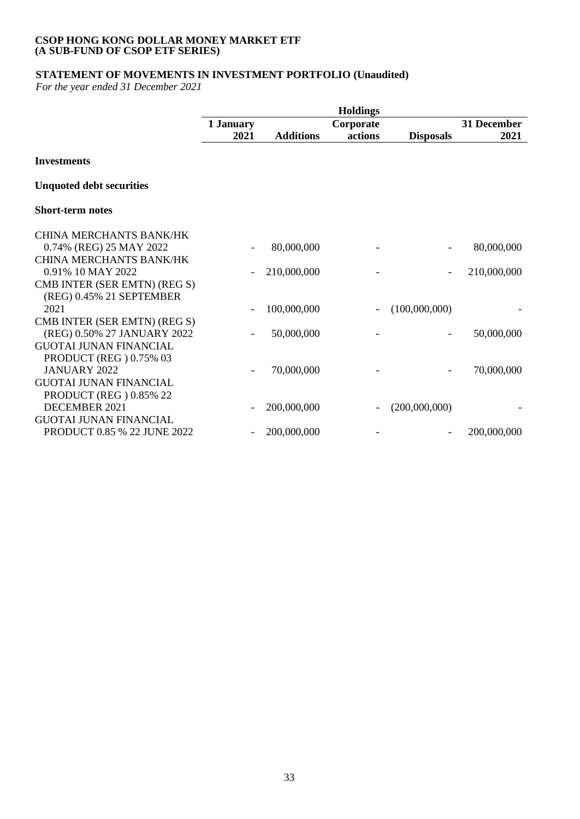# **STATEMENT OF MOVEMENTS IN INVESTMENT PORTFOLIO (Unaudited)**

*For the year ended 31 December 2021*

|                                 | <b>Holdings</b> |                  |           |                  |             |
|---------------------------------|-----------------|------------------|-----------|------------------|-------------|
|                                 | 1 January       |                  | Corporate |                  | 31 December |
|                                 | 2021            | <b>Additions</b> | actions   | <b>Disposals</b> | 2021        |
| <b>Investments</b>              |                 |                  |           |                  |             |
| <b>Unquoted debt securities</b> |                 |                  |           |                  |             |
| <b>Short-term notes</b>         |                 |                  |           |                  |             |
| <b>CHINA MERCHANTS BANK/HK</b>  |                 |                  |           |                  |             |
| 0.74% (REG) 25 MAY 2022         |                 | 80,000,000       |           |                  | 80,000,000  |
| <b>CHINA MERCHANTS BANK/HK</b>  |                 |                  |           |                  |             |
| 0.91% 10 MAY 2022               |                 | 210,000,000      |           |                  | 210,000,000 |
| CMB INTER (SER EMTN) (REG S)    |                 |                  |           |                  |             |
| (REG) 0.45% 21 SEPTEMBER        |                 |                  |           |                  |             |
| 2021                            |                 | 100,000,000      |           | (100,000,000)    |             |
| CMB INTER (SER EMTN) (REG S)    |                 |                  |           |                  |             |
| (REG) 0.50% 27 JANUARY 2022     |                 | 50,000,000       |           |                  | 50,000,000  |
| <b>GUOTAI JUNAN FINANCIAL</b>   |                 |                  |           |                  |             |
| <b>PRODUCT (REG) 0.75% 03</b>   |                 |                  |           |                  |             |
| <b>JANUARY 2022</b>             |                 | 70,000,000       |           |                  | 70,000,000  |
| <b>GUOTAI JUNAN FINANCIAL</b>   |                 |                  |           |                  |             |
| PRODUCT (REG) 0.85% 22          |                 |                  |           |                  |             |
| DECEMBER 2021                   |                 | 200,000,000      |           | (200,000,000)    |             |
| <b>GUOTAI JUNAN FINANCIAL</b>   |                 |                  |           |                  |             |
| PRODUCT 0.85 % 22 JUNE 2022     |                 | 200,000,000      |           |                  | 200,000,000 |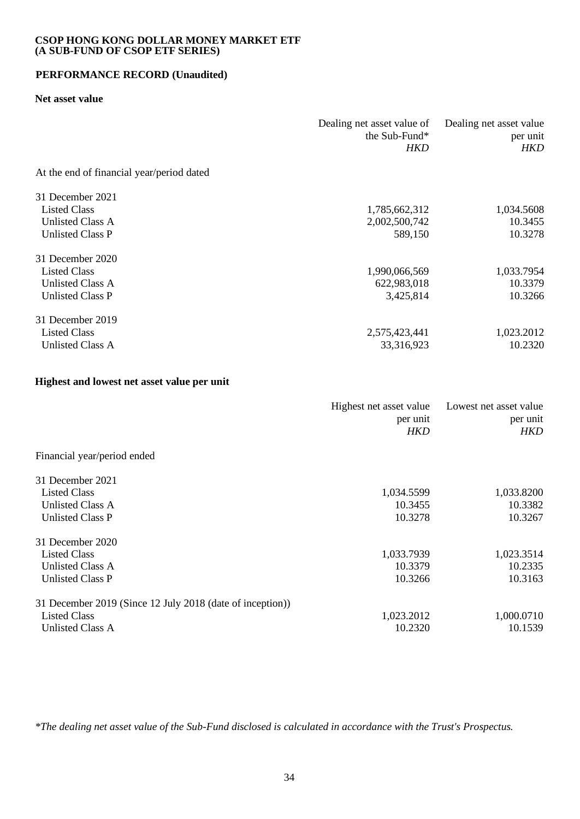# **PERFORMANCE RECORD (Unaudited)**

#### **Net asset value**

|                                           | Dealing net asset value of<br>the Sub-Fund*<br>HKD | Dealing net asset value<br>per unit<br>HKD |
|-------------------------------------------|----------------------------------------------------|--------------------------------------------|
| At the end of financial year/period dated |                                                    |                                            |
| 31 December 2021                          |                                                    |                                            |
| <b>Listed Class</b>                       | 1,785,662,312                                      | 1,034.5608                                 |
| Unlisted Class A                          | 2,002,500,742                                      | 10.3455                                    |
| Unlisted Class P                          | 589,150                                            | 10.3278                                    |
| 31 December 2020                          |                                                    |                                            |
| <b>Listed Class</b>                       | 1,990,066,569                                      | 1,033.7954                                 |
| Unlisted Class A                          | 622,983,018                                        | 10.3379                                    |
| <b>Unlisted Class P</b>                   | 3,425,814                                          | 10.3266                                    |
| 31 December 2019                          |                                                    |                                            |
| <b>Listed Class</b>                       | 2,575,423,441                                      | 1,023.2012                                 |
| Unlisted Class A                          | 33,316,923                                         | 10.2320                                    |

## **Highest and lowest net asset value per unit**

|                                                           | Highest net asset value<br>per unit<br>HKD | Lowest net asset value<br>per unit<br><b>HKD</b> |
|-----------------------------------------------------------|--------------------------------------------|--------------------------------------------------|
| Financial year/period ended                               |                                            |                                                  |
| 31 December 2021                                          |                                            |                                                  |
| <b>Listed Class</b>                                       | 1,034.5599                                 | 1,033.8200                                       |
| Unlisted Class A                                          | 10.3455                                    | 10.3382                                          |
| <b>Unlisted Class P</b>                                   | 10.3278                                    | 10.3267                                          |
| 31 December 2020                                          |                                            |                                                  |
| <b>Listed Class</b>                                       | 1,033.7939                                 | 1,023.3514                                       |
| Unlisted Class A                                          | 10.3379                                    | 10.2335                                          |
| <b>Unlisted Class P</b>                                   | 10.3266                                    | 10.3163                                          |
| 31 December 2019 (Since 12 July 2018 (date of inception)) |                                            |                                                  |
| <b>Listed Class</b>                                       | 1,023.2012                                 | 1,000.0710                                       |
| Unlisted Class A                                          | 10.2320                                    | 10.1539                                          |
|                                                           |                                            |                                                  |

*\*The dealing net asset value of the Sub-Fund disclosed is calculated in accordance with the Trust's Prospectus.*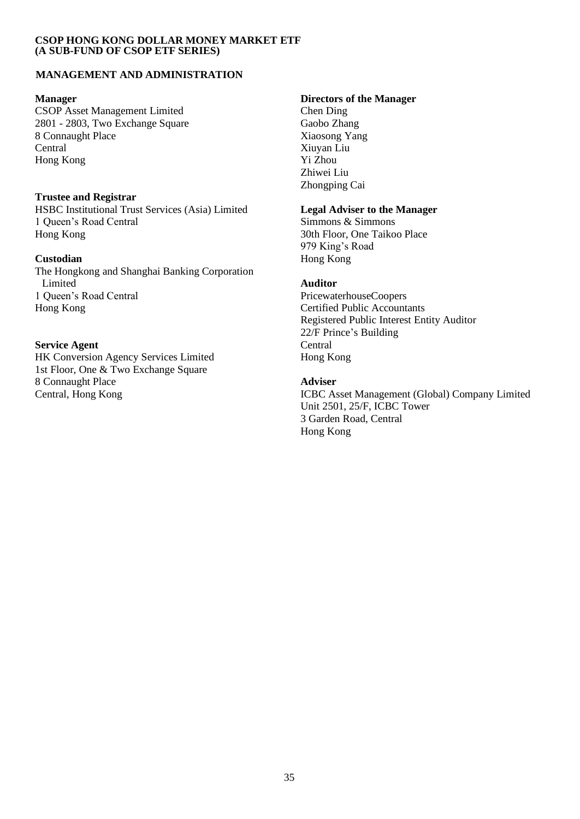# **MANAGEMENT AND ADMINISTRATION**

CSOP Asset Management Limited<br>
2801 - 2803, Two Exchange Square<br>
Gaobo Zhang 2801 - 2803, Two Exchange Square Gaobo Zhang<br>8 Connaught Place Gaobo Zhang<br>2 Xiaosong Yang 8 Connaught Place Central Xiuyan Liu Hong Kong

# **Trustee and Registrar**

HSBC Institutional Trust Services (Asia) Limited **Legal Adviser to the Manager** 1 Oueen's Road Central Simmons & Simmons 8 Simmons & Simmons Hong Kong 30th Floor, One Taikoo Place

The Hongkong and Shanghai Banking Corporation Limited **Auditor** 1 Queen's Road Central PricewaterhouseCoopers Hong Kong Certified Public Accountants

# **Service Agent** Central

HK Conversion Agency Services Limited Hong Kong 1st Floor, One & Two Exchange Square 8 Connaught Place **Adviser**

# **Manager Directors of the Manager**

Zhiwei Liu Zhongping Cai

979 King's Road **Custodian** Hong Kong

Registered Public Interest Entity Auditor 22/F Prince's Building

Central, Hong Kong **ICBC** Asset Management (Global) Company Limited Unit 2501, 25/F, ICBC Tower 3 Garden Road, Central Hong Kong